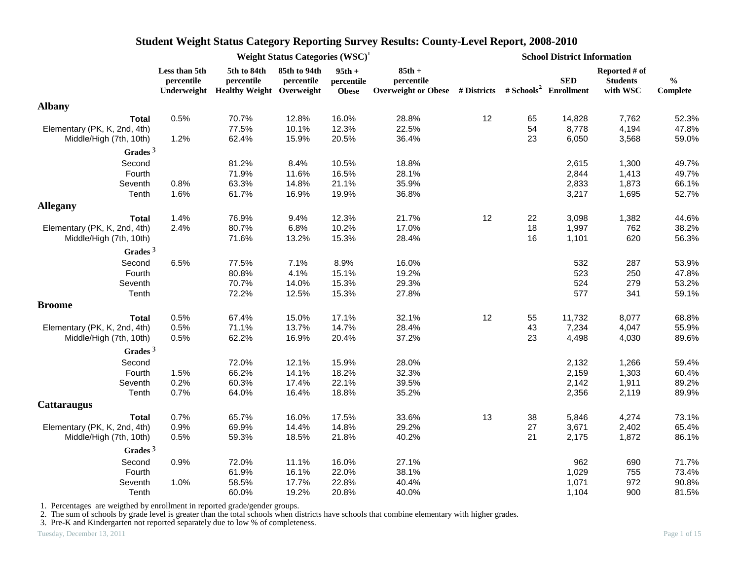|                              |                             | Weight Status Categories (WSC) <sup>1</sup><br>5th to 84th<br>85th to 94th<br>$95th +$<br>percentile<br>percentile<br>percentile<br>Underweight Healthy Weight Overweight<br><b>Obese</b><br>70.7%<br>16.0%<br>12.8%<br>77.5%<br>10.1%<br>12.3%<br>1.2%<br>62.4%<br>15.9%<br>20.5%<br>36.4%<br>81.2%<br>8.4%<br>10.5%<br>71.9%<br>16.5%<br>11.6%<br>63.3%<br>0.8%<br>14.8%<br>21.1%<br>35.9%<br>1.6%<br>61.7%<br>16.9%<br>19.9%<br>36.8%<br>1.4%<br>76.9%<br>9.4%<br>12.3%<br>21.7%<br>80.7%<br>6.8%<br>17.0%<br>2.4%<br>10.2%<br>71.6%<br>13.2%<br>15.3%<br>28.4%<br>77.5%<br>6.5%<br>7.1%<br>8.9%<br>80.8%<br>4.1%<br>15.1%<br>70.7%<br>14.0%<br>15.3%<br>72.2%<br>12.5%<br>15.3%<br>27.8%<br>17.1%<br>0.5%<br>67.4%<br>15.0%<br>0.5%<br>71.1%<br>13.7%<br>14.7%<br>62.2%<br>0.5%<br>16.9%<br>20.4%<br>72.0%<br>12.1%<br>15.9%<br>1.5%<br>66.2%<br>14.1%<br>18.2%<br>0.2%<br>60.3%<br>17.4%<br>22.1%<br>0.7%<br>64.0%<br>16.4%<br>18.8%<br>17.5%<br>65.7%<br>16.0%<br>0.9%<br>69.9%<br>14.4%<br>14.8%<br>59.3%<br>21.8%<br>0.5%<br>18.5% |       |       |                                                                                             |    |    | <b>School District Information</b> |                                              |                           |
|------------------------------|-----------------------------|--------------------------------------------------------------------------------------------------------------------------------------------------------------------------------------------------------------------------------------------------------------------------------------------------------------------------------------------------------------------------------------------------------------------------------------------------------------------------------------------------------------------------------------------------------------------------------------------------------------------------------------------------------------------------------------------------------------------------------------------------------------------------------------------------------------------------------------------------------------------------------------------------------------------------------------------------------------------------------------------------------------------------------------------|-------|-------|---------------------------------------------------------------------------------------------|----|----|------------------------------------|----------------------------------------------|---------------------------|
|                              | Less than 5th<br>percentile |                                                                                                                                                                                                                                                                                                                                                                                                                                                                                                                                                                                                                                                                                                                                                                                                                                                                                                                                                                                                                                            |       |       | $85th +$<br>percentile<br>Overweight or Obese # Districts # Schools <sup>2</sup> Enrollment |    |    | <b>SED</b>                         | Reported # of<br><b>Students</b><br>with WSC | $\frac{0}{0}$<br>Complete |
| <b>Albany</b>                |                             |                                                                                                                                                                                                                                                                                                                                                                                                                                                                                                                                                                                                                                                                                                                                                                                                                                                                                                                                                                                                                                            |       |       |                                                                                             |    |    |                                    |                                              |                           |
| <b>Total</b>                 | 0.5%                        |                                                                                                                                                                                                                                                                                                                                                                                                                                                                                                                                                                                                                                                                                                                                                                                                                                                                                                                                                                                                                                            |       |       | 28.8%                                                                                       | 12 | 65 | 14,828                             | 7,762                                        | 52.3%                     |
| Elementary (PK, K, 2nd, 4th) |                             |                                                                                                                                                                                                                                                                                                                                                                                                                                                                                                                                                                                                                                                                                                                                                                                                                                                                                                                                                                                                                                            |       |       | 22.5%                                                                                       |    | 54 | 8,778                              | 4,194                                        | 47.8%                     |
| Middle/High (7th, 10th)      |                             |                                                                                                                                                                                                                                                                                                                                                                                                                                                                                                                                                                                                                                                                                                                                                                                                                                                                                                                                                                                                                                            |       |       |                                                                                             |    | 23 | 6,050                              | 3,568                                        | 59.0%                     |
| Grades $3$                   |                             |                                                                                                                                                                                                                                                                                                                                                                                                                                                                                                                                                                                                                                                                                                                                                                                                                                                                                                                                                                                                                                            |       |       |                                                                                             |    |    |                                    |                                              |                           |
| Second                       |                             |                                                                                                                                                                                                                                                                                                                                                                                                                                                                                                                                                                                                                                                                                                                                                                                                                                                                                                                                                                                                                                            |       |       | 18.8%                                                                                       |    |    | 2,615                              | 1,300                                        | 49.7%                     |
| Fourth                       |                             |                                                                                                                                                                                                                                                                                                                                                                                                                                                                                                                                                                                                                                                                                                                                                                                                                                                                                                                                                                                                                                            |       |       | 28.1%                                                                                       |    |    | 2,844                              | 1,413                                        | 49.7%                     |
| Seventh                      |                             |                                                                                                                                                                                                                                                                                                                                                                                                                                                                                                                                                                                                                                                                                                                                                                                                                                                                                                                                                                                                                                            |       |       |                                                                                             |    |    | 2,833                              | 1,873                                        | 66.1%                     |
| Tenth                        |                             |                                                                                                                                                                                                                                                                                                                                                                                                                                                                                                                                                                                                                                                                                                                                                                                                                                                                                                                                                                                                                                            |       |       |                                                                                             |    |    | 3,217                              | 1,695                                        | 52.7%                     |
| <b>Allegany</b>              |                             |                                                                                                                                                                                                                                                                                                                                                                                                                                                                                                                                                                                                                                                                                                                                                                                                                                                                                                                                                                                                                                            |       |       |                                                                                             |    |    |                                    |                                              |                           |
| <b>Total</b>                 |                             |                                                                                                                                                                                                                                                                                                                                                                                                                                                                                                                                                                                                                                                                                                                                                                                                                                                                                                                                                                                                                                            |       |       |                                                                                             | 12 | 22 | 3,098                              | 1,382                                        | 44.6%                     |
| Elementary (PK, K, 2nd, 4th) |                             |                                                                                                                                                                                                                                                                                                                                                                                                                                                                                                                                                                                                                                                                                                                                                                                                                                                                                                                                                                                                                                            |       |       |                                                                                             |    | 18 | 1,997                              | 762                                          | 38.2%                     |
| Middle/High (7th, 10th)      |                             |                                                                                                                                                                                                                                                                                                                                                                                                                                                                                                                                                                                                                                                                                                                                                                                                                                                                                                                                                                                                                                            |       |       |                                                                                             |    | 16 | 1,101                              | 620                                          | 56.3%                     |
| Grades $3$                   |                             |                                                                                                                                                                                                                                                                                                                                                                                                                                                                                                                                                                                                                                                                                                                                                                                                                                                                                                                                                                                                                                            |       |       |                                                                                             |    |    |                                    |                                              |                           |
| Second                       |                             |                                                                                                                                                                                                                                                                                                                                                                                                                                                                                                                                                                                                                                                                                                                                                                                                                                                                                                                                                                                                                                            |       |       | 16.0%                                                                                       |    |    | 532                                | 287                                          | 53.9%                     |
| Fourth                       |                             |                                                                                                                                                                                                                                                                                                                                                                                                                                                                                                                                                                                                                                                                                                                                                                                                                                                                                                                                                                                                                                            |       |       | 19.2%                                                                                       |    |    | 523                                | 250                                          | 47.8%                     |
| Seventh                      |                             |                                                                                                                                                                                                                                                                                                                                                                                                                                                                                                                                                                                                                                                                                                                                                                                                                                                                                                                                                                                                                                            |       |       | 29.3%                                                                                       |    |    | 524                                | 279                                          | 53.2%                     |
| Tenth                        |                             |                                                                                                                                                                                                                                                                                                                                                                                                                                                                                                                                                                                                                                                                                                                                                                                                                                                                                                                                                                                                                                            |       |       |                                                                                             |    |    | 577                                | 341                                          | 59.1%                     |
| <b>Broome</b>                |                             |                                                                                                                                                                                                                                                                                                                                                                                                                                                                                                                                                                                                                                                                                                                                                                                                                                                                                                                                                                                                                                            |       |       |                                                                                             |    |    |                                    |                                              |                           |
| <b>Total</b>                 |                             |                                                                                                                                                                                                                                                                                                                                                                                                                                                                                                                                                                                                                                                                                                                                                                                                                                                                                                                                                                                                                                            |       |       | 32.1%                                                                                       | 12 | 55 | 11,732                             | 8,077                                        | 68.8%                     |
| Elementary (PK, K, 2nd, 4th) |                             |                                                                                                                                                                                                                                                                                                                                                                                                                                                                                                                                                                                                                                                                                                                                                                                                                                                                                                                                                                                                                                            |       |       | 28.4%                                                                                       |    | 43 | 7,234                              | 4,047                                        | 55.9%                     |
| Middle/High (7th, 10th)      |                             |                                                                                                                                                                                                                                                                                                                                                                                                                                                                                                                                                                                                                                                                                                                                                                                                                                                                                                                                                                                                                                            |       |       | 37.2%                                                                                       |    | 23 | 4,498                              | 4,030                                        | 89.6%                     |
| Grades $3$                   |                             |                                                                                                                                                                                                                                                                                                                                                                                                                                                                                                                                                                                                                                                                                                                                                                                                                                                                                                                                                                                                                                            |       |       |                                                                                             |    |    |                                    |                                              |                           |
| Second                       |                             |                                                                                                                                                                                                                                                                                                                                                                                                                                                                                                                                                                                                                                                                                                                                                                                                                                                                                                                                                                                                                                            |       |       | 28.0%                                                                                       |    |    | 2,132                              | 1,266                                        | 59.4%                     |
| Fourth                       |                             |                                                                                                                                                                                                                                                                                                                                                                                                                                                                                                                                                                                                                                                                                                                                                                                                                                                                                                                                                                                                                                            |       |       | 32.3%                                                                                       |    |    | 2,159                              | 1,303                                        | 60.4%                     |
| Seventh                      |                             |                                                                                                                                                                                                                                                                                                                                                                                                                                                                                                                                                                                                                                                                                                                                                                                                                                                                                                                                                                                                                                            |       |       | 39.5%                                                                                       |    |    | 2,142                              | 1,911                                        | 89.2%                     |
| Tenth                        |                             |                                                                                                                                                                                                                                                                                                                                                                                                                                                                                                                                                                                                                                                                                                                                                                                                                                                                                                                                                                                                                                            |       |       | 35.2%                                                                                       |    |    | 2,356                              | 2,119                                        | 89.9%                     |
| <b>Cattaraugus</b>           |                             |                                                                                                                                                                                                                                                                                                                                                                                                                                                                                                                                                                                                                                                                                                                                                                                                                                                                                                                                                                                                                                            |       |       |                                                                                             |    |    |                                    |                                              |                           |
| <b>Total</b>                 | 0.7%                        |                                                                                                                                                                                                                                                                                                                                                                                                                                                                                                                                                                                                                                                                                                                                                                                                                                                                                                                                                                                                                                            |       |       | 33.6%                                                                                       | 13 | 38 | 5,846                              | 4,274                                        | 73.1%                     |
| Elementary (PK, K, 2nd, 4th) |                             |                                                                                                                                                                                                                                                                                                                                                                                                                                                                                                                                                                                                                                                                                                                                                                                                                                                                                                                                                                                                                                            |       |       | 29.2%                                                                                       |    | 27 | 3,671                              | 2,402                                        | 65.4%                     |
| Middle/High (7th, 10th)      |                             |                                                                                                                                                                                                                                                                                                                                                                                                                                                                                                                                                                                                                                                                                                                                                                                                                                                                                                                                                                                                                                            |       |       | 40.2%                                                                                       |    | 21 | 2,175                              | 1,872                                        | 86.1%                     |
| Grades $3$                   |                             |                                                                                                                                                                                                                                                                                                                                                                                                                                                                                                                                                                                                                                                                                                                                                                                                                                                                                                                                                                                                                                            |       |       |                                                                                             |    |    |                                    |                                              |                           |
| Second                       | 0.9%                        | 72.0%                                                                                                                                                                                                                                                                                                                                                                                                                                                                                                                                                                                                                                                                                                                                                                                                                                                                                                                                                                                                                                      | 11.1% | 16.0% | 27.1%                                                                                       |    |    | 962                                | 690                                          | 71.7%                     |
| Fourth                       |                             | 61.9%                                                                                                                                                                                                                                                                                                                                                                                                                                                                                                                                                                                                                                                                                                                                                                                                                                                                                                                                                                                                                                      | 16.1% | 22.0% | 38.1%                                                                                       |    |    | 1,029                              | 755                                          | 73.4%                     |
| Seventh                      | 1.0%                        | 58.5%                                                                                                                                                                                                                                                                                                                                                                                                                                                                                                                                                                                                                                                                                                                                                                                                                                                                                                                                                                                                                                      | 17.7% | 22.8% | 40.4%                                                                                       |    |    | 1,071                              | 972                                          | 90.8%                     |
| Tenth                        |                             | 60.0%                                                                                                                                                                                                                                                                                                                                                                                                                                                                                                                                                                                                                                                                                                                                                                                                                                                                                                                                                                                                                                      | 19.2% | 20.8% | 40.0%                                                                                       |    |    | 1,104                              | 900                                          | 81.5%                     |

1. Percentages are weigthed by enrollment in reported grade/gender groups.

2. The sum of schools by grade level is greater than the total schools when districts have schools that combine elementary with higher grades.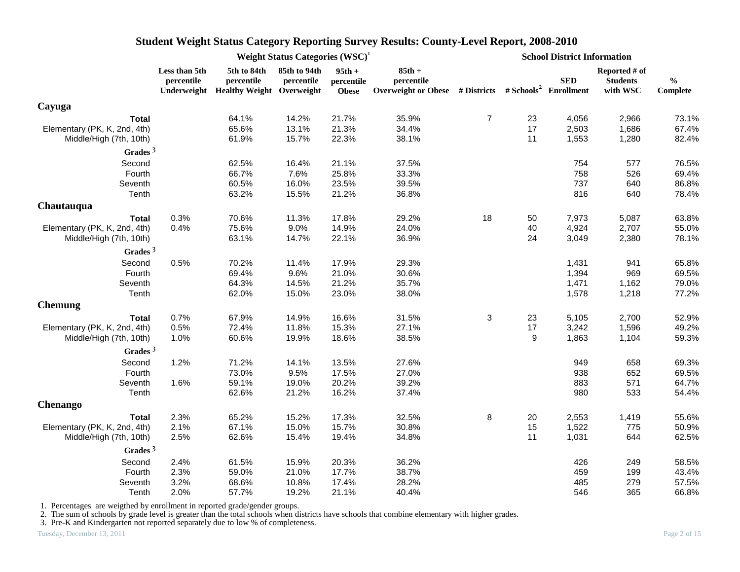|                              |                             |                           | Weight Status Categories $(WSC)^1$<br><b>School District Information</b><br>85th to 94th<br>$85th +$<br>$95th +$<br>percentile<br><b>SED</b><br>percentile<br>percentile<br>Overweight or Obese # Districts # Schools <sup>2</sup> Enrollment<br>Underweight Healthy Weight Overweight<br><b>Obese</b><br>$\boldsymbol{7}$<br>21.7%<br>35.9%<br>14.2%<br>23<br>4,056<br>13.1%<br>21.3%<br>34.4%<br>17<br>2,503<br>15.7%<br>38.1%<br>1,553<br>22.3%<br>11<br>754<br>16.4%<br>21.1%<br>37.5%<br>7.6%<br>25.8%<br>33.3%<br>758<br>16.0%<br>39.5%<br>737<br>23.5%<br>816<br>15.5%<br>21.2%<br>36.8%<br>11.3%<br>17.8%<br>29.2%<br>18<br>50<br>7,973<br>9.0%<br>40<br>14.9%<br>24.0%<br>4,924<br>36.9%<br>24<br>3,049<br>14.7%<br>22.1%<br>11.4%<br>17.9%<br>29.3%<br>1,431<br>9.6%<br>21.0%<br>30.6%<br>1,394<br>14.5%<br>21.2%<br>35.7%<br>1,471<br>15.0%<br>23.0%<br>38.0%<br>1,578<br>31.5%<br>3<br>23<br>14.9%<br>16.6%<br>5,105<br>11.8%<br>27.1%<br>17<br>3,242<br>15.3%<br>19.9%<br>38.5%<br>9<br>1,863<br>18.6%<br>14.1%<br>13.5%<br>27.6%<br>949<br>9.5%<br>27.0%<br>938<br>17.5%<br>39.2%<br>883<br>19.0%<br>20.2%<br>980<br>21.2%<br>16.2%<br>37.4%<br>15.2%<br>17.3%<br>32.5%<br>8<br>20<br>2,553<br>15.0%<br>15.7%<br>30.8%<br>15<br>1,522<br>34.8%<br>1,031<br>15.4%<br>19.4%<br>11 |       |       |  |     |                                              |                           |
|------------------------------|-----------------------------|---------------------------|-----------------------------------------------------------------------------------------------------------------------------------------------------------------------------------------------------------------------------------------------------------------------------------------------------------------------------------------------------------------------------------------------------------------------------------------------------------------------------------------------------------------------------------------------------------------------------------------------------------------------------------------------------------------------------------------------------------------------------------------------------------------------------------------------------------------------------------------------------------------------------------------------------------------------------------------------------------------------------------------------------------------------------------------------------------------------------------------------------------------------------------------------------------------------------------------------------------------------------------------------------------------------------------------------|-------|-------|--|-----|----------------------------------------------|---------------------------|
|                              | Less than 5th<br>percentile | 5th to 84th<br>percentile |                                                                                                                                                                                                                                                                                                                                                                                                                                                                                                                                                                                                                                                                                                                                                                                                                                                                                                                                                                                                                                                                                                                                                                                                                                                                                               |       |       |  |     | Reported # of<br><b>Students</b><br>with WSC | $\frac{0}{0}$<br>Complete |
| Cayuga                       |                             |                           |                                                                                                                                                                                                                                                                                                                                                                                                                                                                                                                                                                                                                                                                                                                                                                                                                                                                                                                                                                                                                                                                                                                                                                                                                                                                                               |       |       |  |     |                                              |                           |
| <b>Total</b>                 |                             | 64.1%                     |                                                                                                                                                                                                                                                                                                                                                                                                                                                                                                                                                                                                                                                                                                                                                                                                                                                                                                                                                                                                                                                                                                                                                                                                                                                                                               |       |       |  |     | 2,966                                        | 73.1%                     |
| Elementary (PK, K, 2nd, 4th) |                             | 65.6%                     |                                                                                                                                                                                                                                                                                                                                                                                                                                                                                                                                                                                                                                                                                                                                                                                                                                                                                                                                                                                                                                                                                                                                                                                                                                                                                               |       |       |  |     | 1,686                                        | 67.4%                     |
| Middle/High (7th, 10th)      |                             | 61.9%                     |                                                                                                                                                                                                                                                                                                                                                                                                                                                                                                                                                                                                                                                                                                                                                                                                                                                                                                                                                                                                                                                                                                                                                                                                                                                                                               |       |       |  |     | 1,280                                        | 82.4%                     |
| Grades $3$                   |                             |                           |                                                                                                                                                                                                                                                                                                                                                                                                                                                                                                                                                                                                                                                                                                                                                                                                                                                                                                                                                                                                                                                                                                                                                                                                                                                                                               |       |       |  |     |                                              |                           |
| Second                       |                             | 62.5%                     |                                                                                                                                                                                                                                                                                                                                                                                                                                                                                                                                                                                                                                                                                                                                                                                                                                                                                                                                                                                                                                                                                                                                                                                                                                                                                               |       |       |  |     | 577                                          | 76.5%                     |
| Fourth                       |                             | 66.7%                     |                                                                                                                                                                                                                                                                                                                                                                                                                                                                                                                                                                                                                                                                                                                                                                                                                                                                                                                                                                                                                                                                                                                                                                                                                                                                                               |       |       |  |     | 526                                          | 69.4%                     |
| Seventh                      |                             | 60.5%                     |                                                                                                                                                                                                                                                                                                                                                                                                                                                                                                                                                                                                                                                                                                                                                                                                                                                                                                                                                                                                                                                                                                                                                                                                                                                                                               |       |       |  |     | 640                                          | 86.8%                     |
| Tenth                        |                             | 63.2%                     |                                                                                                                                                                                                                                                                                                                                                                                                                                                                                                                                                                                                                                                                                                                                                                                                                                                                                                                                                                                                                                                                                                                                                                                                                                                                                               |       |       |  |     | 640                                          | 78.4%                     |
| Chautauqua                   |                             |                           |                                                                                                                                                                                                                                                                                                                                                                                                                                                                                                                                                                                                                                                                                                                                                                                                                                                                                                                                                                                                                                                                                                                                                                                                                                                                                               |       |       |  |     |                                              |                           |
| <b>Total</b>                 | 0.3%                        | 70.6%                     |                                                                                                                                                                                                                                                                                                                                                                                                                                                                                                                                                                                                                                                                                                                                                                                                                                                                                                                                                                                                                                                                                                                                                                                                                                                                                               |       |       |  |     | 5,087                                        | 63.8%                     |
| Elementary (PK, K, 2nd, 4th) | 0.4%                        | 75.6%                     |                                                                                                                                                                                                                                                                                                                                                                                                                                                                                                                                                                                                                                                                                                                                                                                                                                                                                                                                                                                                                                                                                                                                                                                                                                                                                               |       |       |  |     | 2,707                                        | 55.0%                     |
| Middle/High (7th, 10th)      |                             | 63.1%                     |                                                                                                                                                                                                                                                                                                                                                                                                                                                                                                                                                                                                                                                                                                                                                                                                                                                                                                                                                                                                                                                                                                                                                                                                                                                                                               |       |       |  |     | 2,380                                        | 78.1%                     |
| Grades $3$                   |                             |                           |                                                                                                                                                                                                                                                                                                                                                                                                                                                                                                                                                                                                                                                                                                                                                                                                                                                                                                                                                                                                                                                                                                                                                                                                                                                                                               |       |       |  |     |                                              |                           |
| Second                       | 0.5%                        | 70.2%                     |                                                                                                                                                                                                                                                                                                                                                                                                                                                                                                                                                                                                                                                                                                                                                                                                                                                                                                                                                                                                                                                                                                                                                                                                                                                                                               |       |       |  |     | 941                                          | 65.8%                     |
| Fourth                       |                             | 69.4%                     |                                                                                                                                                                                                                                                                                                                                                                                                                                                                                                                                                                                                                                                                                                                                                                                                                                                                                                                                                                                                                                                                                                                                                                                                                                                                                               |       |       |  |     | 969                                          | 69.5%                     |
| Seventh                      |                             | 64.3%                     |                                                                                                                                                                                                                                                                                                                                                                                                                                                                                                                                                                                                                                                                                                                                                                                                                                                                                                                                                                                                                                                                                                                                                                                                                                                                                               |       |       |  |     | 1,162                                        | 79.0%                     |
| Tenth                        |                             | 62.0%                     |                                                                                                                                                                                                                                                                                                                                                                                                                                                                                                                                                                                                                                                                                                                                                                                                                                                                                                                                                                                                                                                                                                                                                                                                                                                                                               |       |       |  |     | 1,218                                        | 77.2%                     |
| <b>Chemung</b>               |                             |                           |                                                                                                                                                                                                                                                                                                                                                                                                                                                                                                                                                                                                                                                                                                                                                                                                                                                                                                                                                                                                                                                                                                                                                                                                                                                                                               |       |       |  |     |                                              |                           |
| <b>Total</b>                 | 0.7%                        | 67.9%                     |                                                                                                                                                                                                                                                                                                                                                                                                                                                                                                                                                                                                                                                                                                                                                                                                                                                                                                                                                                                                                                                                                                                                                                                                                                                                                               |       |       |  |     | 2,700                                        | 52.9%                     |
| Elementary (PK, K, 2nd, 4th) | 0.5%                        | 72.4%                     |                                                                                                                                                                                                                                                                                                                                                                                                                                                                                                                                                                                                                                                                                                                                                                                                                                                                                                                                                                                                                                                                                                                                                                                                                                                                                               |       |       |  |     | 1,596                                        | 49.2%                     |
| Middle/High (7th, 10th)      | 1.0%                        | 60.6%                     |                                                                                                                                                                                                                                                                                                                                                                                                                                                                                                                                                                                                                                                                                                                                                                                                                                                                                                                                                                                                                                                                                                                                                                                                                                                                                               |       |       |  |     | 1,104                                        | 59.3%                     |
| Grades $3$                   |                             |                           |                                                                                                                                                                                                                                                                                                                                                                                                                                                                                                                                                                                                                                                                                                                                                                                                                                                                                                                                                                                                                                                                                                                                                                                                                                                                                               |       |       |  |     |                                              |                           |
| Second                       | 1.2%                        | 71.2%                     |                                                                                                                                                                                                                                                                                                                                                                                                                                                                                                                                                                                                                                                                                                                                                                                                                                                                                                                                                                                                                                                                                                                                                                                                                                                                                               |       |       |  |     | 658                                          | 69.3%                     |
| Fourth                       |                             | 73.0%                     |                                                                                                                                                                                                                                                                                                                                                                                                                                                                                                                                                                                                                                                                                                                                                                                                                                                                                                                                                                                                                                                                                                                                                                                                                                                                                               |       |       |  |     | 652                                          | 69.5%                     |
| Seventh                      | 1.6%                        | 59.1%                     |                                                                                                                                                                                                                                                                                                                                                                                                                                                                                                                                                                                                                                                                                                                                                                                                                                                                                                                                                                                                                                                                                                                                                                                                                                                                                               |       |       |  |     | 571                                          | 64.7%                     |
| Tenth                        |                             | 62.6%                     |                                                                                                                                                                                                                                                                                                                                                                                                                                                                                                                                                                                                                                                                                                                                                                                                                                                                                                                                                                                                                                                                                                                                                                                                                                                                                               |       |       |  |     | 533                                          | 54.4%                     |
| <b>Chenango</b>              |                             |                           |                                                                                                                                                                                                                                                                                                                                                                                                                                                                                                                                                                                                                                                                                                                                                                                                                                                                                                                                                                                                                                                                                                                                                                                                                                                                                               |       |       |  |     |                                              |                           |
| <b>Total</b>                 | 2.3%                        | 65.2%                     |                                                                                                                                                                                                                                                                                                                                                                                                                                                                                                                                                                                                                                                                                                                                                                                                                                                                                                                                                                                                                                                                                                                                                                                                                                                                                               |       |       |  |     | 1,419                                        | 55.6%                     |
| Elementary (PK, K, 2nd, 4th) | 2.1%                        | 67.1%                     |                                                                                                                                                                                                                                                                                                                                                                                                                                                                                                                                                                                                                                                                                                                                                                                                                                                                                                                                                                                                                                                                                                                                                                                                                                                                                               |       |       |  |     | 775                                          | 50.9%                     |
| Middle/High (7th, 10th)      | 2.5%                        | 62.6%                     |                                                                                                                                                                                                                                                                                                                                                                                                                                                                                                                                                                                                                                                                                                                                                                                                                                                                                                                                                                                                                                                                                                                                                                                                                                                                                               |       |       |  |     | 644                                          | 62.5%                     |
| Grades $3$                   |                             |                           |                                                                                                                                                                                                                                                                                                                                                                                                                                                                                                                                                                                                                                                                                                                                                                                                                                                                                                                                                                                                                                                                                                                                                                                                                                                                                               |       |       |  |     |                                              |                           |
| Second                       | 2.4%                        | 61.5%                     | 15.9%                                                                                                                                                                                                                                                                                                                                                                                                                                                                                                                                                                                                                                                                                                                                                                                                                                                                                                                                                                                                                                                                                                                                                                                                                                                                                         | 20.3% | 36.2% |  | 426 | 249                                          | 58.5%                     |
| Fourth                       | 2.3%                        | 59.0%                     | 21.0%                                                                                                                                                                                                                                                                                                                                                                                                                                                                                                                                                                                                                                                                                                                                                                                                                                                                                                                                                                                                                                                                                                                                                                                                                                                                                         | 17.7% | 38.7% |  | 459 | 199                                          | 43.4%                     |
| Seventh                      | 3.2%                        | 68.6%                     | 10.8%                                                                                                                                                                                                                                                                                                                                                                                                                                                                                                                                                                                                                                                                                                                                                                                                                                                                                                                                                                                                                                                                                                                                                                                                                                                                                         | 17.4% | 28.2% |  | 485 | 279                                          | 57.5%                     |
| Tenth                        | 2.0%                        | 57.7%                     | 19.2%                                                                                                                                                                                                                                                                                                                                                                                                                                                                                                                                                                                                                                                                                                                                                                                                                                                                                                                                                                                                                                                                                                                                                                                                                                                                                         | 21.1% | 40.4% |  | 546 | 365                                          | 66.8%                     |

1. Percentages are weigthed by enrollment in reported grade/gender groups.

2. The sum of schools by grade level is greater than the total schools when districts have schools that combine elementary with higher grades.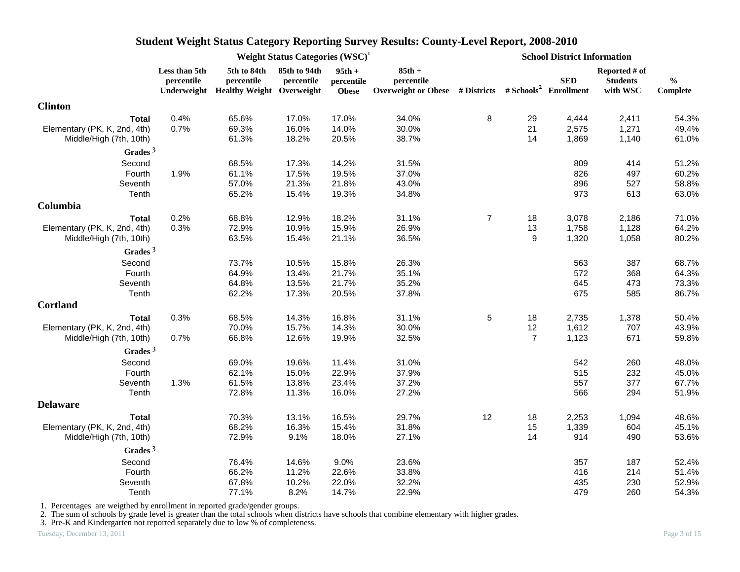|                                                         |                             | Weight Status Categories $(WSC)^1$<br>5th to 84th<br>85th to 94th<br>$95th +$<br>percentile<br>percentile<br>percentile<br>Underweight Healthy Weight Overweight<br><b>Obese</b><br>65.6%<br>17.0%<br>17.0%<br>0.7%<br>69.3%<br>16.0%<br>14.0%<br>30.0%<br>61.3%<br>18.2%<br>20.5%<br>38.7%<br>68.5%<br>14.2%<br>31.5%<br>17.3%<br>1.9%<br>61.1%<br>17.5%<br>19.5%<br>37.0%<br>57.0%<br>21.3%<br>21.8%<br>43.0%<br>65.2%<br>15.4%<br>19.3%<br>34.8%<br>0.2%<br>18.2%<br>31.1%<br>68.8%<br>12.9%<br>0.3%<br>72.9%<br>10.9%<br>15.9%<br>63.5%<br>21.1%<br>15.4%<br>73.7%<br>15.8%<br>10.5%<br>64.9%<br>13.4%<br>21.7%<br>64.8%<br>13.5%<br>21.7%<br>62.2%<br>17.3%<br>20.5%<br>68.5%<br>14.3%<br>16.8%<br>70.0%<br>15.7%<br>14.3%<br>66.8%<br>19.9%<br>12.6%<br>11.4%<br>69.0%<br>19.6%<br>62.1%<br>15.0%<br>22.9%<br>61.5%<br>13.8%<br>23.4%<br>72.8%<br>11.3%<br>16.0%<br>70.3%<br>13.1%<br>16.5% |       |       |                                                                                             |                |                | <b>School District Information</b> |                                              |                           |
|---------------------------------------------------------|-----------------------------|---------------------------------------------------------------------------------------------------------------------------------------------------------------------------------------------------------------------------------------------------------------------------------------------------------------------------------------------------------------------------------------------------------------------------------------------------------------------------------------------------------------------------------------------------------------------------------------------------------------------------------------------------------------------------------------------------------------------------------------------------------------------------------------------------------------------------------------------------------------------------------------------------|-------|-------|---------------------------------------------------------------------------------------------|----------------|----------------|------------------------------------|----------------------------------------------|---------------------------|
|                                                         | Less than 5th<br>percentile |                                                                                                                                                                                                                                                                                                                                                                                                                                                                                                                                                                                                                                                                                                                                                                                                                                                                                                   |       |       | $85th +$<br>percentile<br>Overweight or Obese # Districts # Schools <sup>2</sup> Enrollment |                |                | <b>SED</b>                         | Reported # of<br><b>Students</b><br>with WSC | $\frac{0}{0}$<br>Complete |
| <b>Clinton</b>                                          |                             |                                                                                                                                                                                                                                                                                                                                                                                                                                                                                                                                                                                                                                                                                                                                                                                                                                                                                                   |       |       |                                                                                             |                |                |                                    |                                              |                           |
| <b>Total</b>                                            | 0.4%                        |                                                                                                                                                                                                                                                                                                                                                                                                                                                                                                                                                                                                                                                                                                                                                                                                                                                                                                   |       |       | 34.0%                                                                                       | 8              | 29             | 4,444                              | 2,411                                        | 54.3%                     |
| Elementary (PK, K, 2nd, 4th)<br>Middle/High (7th, 10th) |                             |                                                                                                                                                                                                                                                                                                                                                                                                                                                                                                                                                                                                                                                                                                                                                                                                                                                                                                   |       |       |                                                                                             |                | 21<br>14       | 2,575<br>1,869                     | 1,271<br>1,140                               | 49.4%<br>61.0%            |
| Grades $3$                                              |                             |                                                                                                                                                                                                                                                                                                                                                                                                                                                                                                                                                                                                                                                                                                                                                                                                                                                                                                   |       |       |                                                                                             |                |                |                                    |                                              |                           |
| Second                                                  |                             |                                                                                                                                                                                                                                                                                                                                                                                                                                                                                                                                                                                                                                                                                                                                                                                                                                                                                                   |       |       |                                                                                             |                |                | 809                                | 414                                          | 51.2%                     |
| Fourth                                                  |                             |                                                                                                                                                                                                                                                                                                                                                                                                                                                                                                                                                                                                                                                                                                                                                                                                                                                                                                   |       |       |                                                                                             |                |                | 826                                | 497                                          | 60.2%                     |
| Seventh                                                 |                             |                                                                                                                                                                                                                                                                                                                                                                                                                                                                                                                                                                                                                                                                                                                                                                                                                                                                                                   |       |       |                                                                                             |                |                | 896                                | 527                                          | 58.8%                     |
| Tenth                                                   |                             |                                                                                                                                                                                                                                                                                                                                                                                                                                                                                                                                                                                                                                                                                                                                                                                                                                                                                                   |       |       |                                                                                             |                |                | 973                                | 613                                          | 63.0%                     |
| Columbia                                                |                             |                                                                                                                                                                                                                                                                                                                                                                                                                                                                                                                                                                                                                                                                                                                                                                                                                                                                                                   |       |       |                                                                                             |                |                |                                    |                                              |                           |
| <b>Total</b>                                            |                             |                                                                                                                                                                                                                                                                                                                                                                                                                                                                                                                                                                                                                                                                                                                                                                                                                                                                                                   |       |       |                                                                                             | $\overline{7}$ | 18             | 3,078                              | 2,186                                        | 71.0%                     |
| Elementary (PK, K, 2nd, 4th)                            |                             |                                                                                                                                                                                                                                                                                                                                                                                                                                                                                                                                                                                                                                                                                                                                                                                                                                                                                                   |       |       | 26.9%                                                                                       |                | 13             | 1,758                              | 1,128                                        | 64.2%                     |
| Middle/High (7th, 10th)                                 |                             |                                                                                                                                                                                                                                                                                                                                                                                                                                                                                                                                                                                                                                                                                                                                                                                                                                                                                                   |       |       | 36.5%                                                                                       |                | 9              | 1,320                              | 1,058                                        | 80.2%                     |
| Grades $3$                                              |                             |                                                                                                                                                                                                                                                                                                                                                                                                                                                                                                                                                                                                                                                                                                                                                                                                                                                                                                   |       |       |                                                                                             |                |                |                                    |                                              |                           |
| Second                                                  |                             |                                                                                                                                                                                                                                                                                                                                                                                                                                                                                                                                                                                                                                                                                                                                                                                                                                                                                                   |       |       | 26.3%                                                                                       |                |                | 563                                | 387                                          | 68.7%                     |
| Fourth                                                  |                             |                                                                                                                                                                                                                                                                                                                                                                                                                                                                                                                                                                                                                                                                                                                                                                                                                                                                                                   |       |       | 35.1%                                                                                       |                |                | 572                                | 368                                          | 64.3%                     |
| Seventh                                                 |                             |                                                                                                                                                                                                                                                                                                                                                                                                                                                                                                                                                                                                                                                                                                                                                                                                                                                                                                   |       |       | 35.2%                                                                                       |                |                | 645                                | 473                                          | 73.3%                     |
| Tenth                                                   |                             |                                                                                                                                                                                                                                                                                                                                                                                                                                                                                                                                                                                                                                                                                                                                                                                                                                                                                                   |       |       | 37.8%                                                                                       |                |                | 675                                | 585                                          | 86.7%                     |
| <b>Cortland</b>                                         |                             |                                                                                                                                                                                                                                                                                                                                                                                                                                                                                                                                                                                                                                                                                                                                                                                                                                                                                                   |       |       |                                                                                             |                |                |                                    |                                              |                           |
| <b>Total</b>                                            | 0.3%                        |                                                                                                                                                                                                                                                                                                                                                                                                                                                                                                                                                                                                                                                                                                                                                                                                                                                                                                   |       |       | 31.1%                                                                                       | $\sqrt{5}$     | 18             | 2,735                              | 1,378                                        | 50.4%                     |
| Elementary (PK, K, 2nd, 4th)                            |                             |                                                                                                                                                                                                                                                                                                                                                                                                                                                                                                                                                                                                                                                                                                                                                                                                                                                                                                   |       |       | 30.0%                                                                                       |                | 12             | 1,612                              | 707                                          | 43.9%                     |
| Middle/High (7th, 10th)                                 | 0.7%                        |                                                                                                                                                                                                                                                                                                                                                                                                                                                                                                                                                                                                                                                                                                                                                                                                                                                                                                   |       |       | 32.5%                                                                                       |                | $\overline{7}$ | 1,123                              | 671                                          | 59.8%                     |
| Grades $3$                                              |                             |                                                                                                                                                                                                                                                                                                                                                                                                                                                                                                                                                                                                                                                                                                                                                                                                                                                                                                   |       |       |                                                                                             |                |                |                                    |                                              |                           |
| Second                                                  |                             |                                                                                                                                                                                                                                                                                                                                                                                                                                                                                                                                                                                                                                                                                                                                                                                                                                                                                                   |       |       | 31.0%                                                                                       |                |                | 542                                | 260                                          | 48.0%                     |
| Fourth                                                  |                             |                                                                                                                                                                                                                                                                                                                                                                                                                                                                                                                                                                                                                                                                                                                                                                                                                                                                                                   |       |       | 37.9%                                                                                       |                |                | 515                                | 232                                          | 45.0%                     |
| Seventh                                                 | 1.3%                        |                                                                                                                                                                                                                                                                                                                                                                                                                                                                                                                                                                                                                                                                                                                                                                                                                                                                                                   |       |       | 37.2%                                                                                       |                |                | 557                                | 377                                          | 67.7%                     |
| Tenth                                                   |                             |                                                                                                                                                                                                                                                                                                                                                                                                                                                                                                                                                                                                                                                                                                                                                                                                                                                                                                   |       |       | 27.2%                                                                                       |                |                | 566                                | 294                                          | 51.9%                     |
| <b>Delaware</b>                                         |                             |                                                                                                                                                                                                                                                                                                                                                                                                                                                                                                                                                                                                                                                                                                                                                                                                                                                                                                   |       |       |                                                                                             |                |                |                                    |                                              |                           |
| <b>Total</b>                                            |                             |                                                                                                                                                                                                                                                                                                                                                                                                                                                                                                                                                                                                                                                                                                                                                                                                                                                                                                   |       |       | 29.7%                                                                                       | 12             | 18             | 2,253                              | 1,094                                        | 48.6%                     |
| Elementary (PK, K, 2nd, 4th)                            |                             | 68.2%                                                                                                                                                                                                                                                                                                                                                                                                                                                                                                                                                                                                                                                                                                                                                                                                                                                                                             | 16.3% | 15.4% | 31.8%                                                                                       |                | 15             | 1,339                              | 604                                          | 45.1%                     |
| Middle/High (7th, 10th)                                 |                             | 72.9%                                                                                                                                                                                                                                                                                                                                                                                                                                                                                                                                                                                                                                                                                                                                                                                                                                                                                             | 9.1%  | 18.0% | 27.1%                                                                                       |                | 14             | 914                                | 490                                          | 53.6%                     |
| Grades $3$                                              |                             |                                                                                                                                                                                                                                                                                                                                                                                                                                                                                                                                                                                                                                                                                                                                                                                                                                                                                                   |       |       |                                                                                             |                |                |                                    |                                              |                           |
| Second                                                  |                             | 76.4%                                                                                                                                                                                                                                                                                                                                                                                                                                                                                                                                                                                                                                                                                                                                                                                                                                                                                             | 14.6% | 9.0%  | 23.6%                                                                                       |                |                | 357                                | 187                                          | 52.4%                     |
| Fourth                                                  |                             | 66.2%                                                                                                                                                                                                                                                                                                                                                                                                                                                                                                                                                                                                                                                                                                                                                                                                                                                                                             | 11.2% | 22.6% | 33.8%                                                                                       |                |                | 416                                | 214                                          | 51.4%                     |
| Seventh                                                 |                             | 67.8%                                                                                                                                                                                                                                                                                                                                                                                                                                                                                                                                                                                                                                                                                                                                                                                                                                                                                             | 10.2% | 22.0% | 32.2%                                                                                       |                |                | 435                                | 230                                          | 52.9%                     |
| Tenth                                                   |                             | 77.1%                                                                                                                                                                                                                                                                                                                                                                                                                                                                                                                                                                                                                                                                                                                                                                                                                                                                                             | 8.2%  | 14.7% | 22.9%                                                                                       |                |                | 479                                | 260                                          | 54.3%                     |

1. Percentages are weigthed by enrollment in reported grade/gender groups.

2. The sum of schools by grade level is greater than the total schools when districts have schools that combine elementary with higher grades.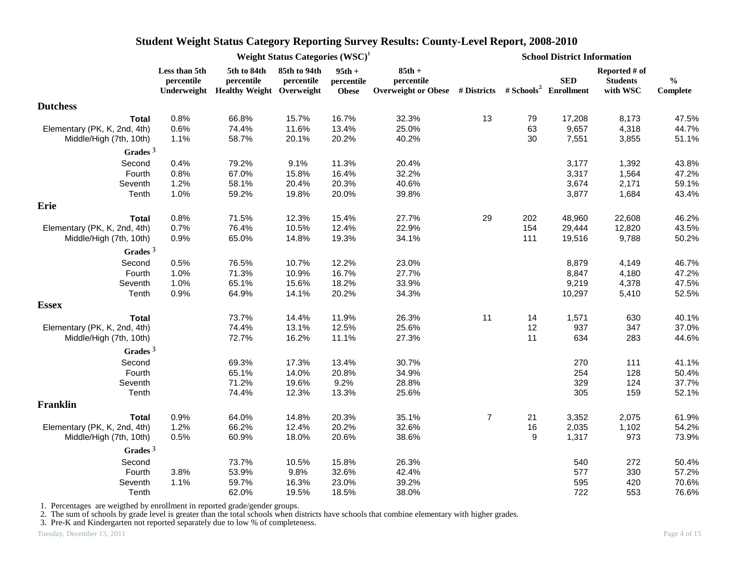|                              |                             | Weight Status Categories (WSC) <sup>1</sup><br>5th to 84th<br>85th to 94th<br>$85th +$<br>$95th +$<br>percentile<br>percentile<br>percentile<br>percentile<br>Overweight or Obese # Districts # Schools <sup>2</sup> Enrollment<br>Underweight Healthy Weight Overweight<br><b>Obese</b><br>66.8%<br>15.7%<br>16.7%<br>32.3%<br>74.4%<br>11.6%<br>13.4%<br>25.0%<br>40.2%<br>58.7%<br>20.1%<br>20.2%<br>79.2%<br>9.1%<br>11.3%<br>20.4%<br>67.0%<br>32.2%<br>15.8%<br>16.4%<br>58.1%<br>20.4%<br>20.3%<br>40.6%<br>59.2%<br>19.8%<br>39.8%<br>20.0%<br>71.5%<br>12.3%<br>15.4%<br>27.7%<br>29<br>76.4%<br>22.9%<br>10.5%<br>12.4%<br>65.0%<br>34.1%<br>14.8%<br>19.3%<br>76.5%<br>10.7%<br>12.2%<br>23.0%<br>71.3%<br>10.9%<br>27.7%<br>16.7%<br>65.1%<br>15.6%<br>18.2%<br>33.9%<br>64.9%<br>14.1%<br>20.2%<br>34.3%<br>11<br>11.9%<br>26.3%<br>73.7%<br>14.4%<br>74.4%<br>13.1%<br>12.5%<br>25.6%<br>27.3%<br>72.7%<br>16.2%<br>11.1%<br>30.7%<br>69.3%<br>17.3%<br>13.4%<br>65.1%<br>14.0%<br>20.8%<br>34.9%<br>71.2%<br>19.6%<br>9.2%<br>28.8%<br>74.4%<br>12.3%<br>13.3%<br>25.6%<br>64.0%<br>35.1%<br>14.8%<br>20.3%<br>66.2%<br>12.4%<br>20.2%<br>32.6%<br>60.9%<br>38.6%<br>18.0%<br>20.6%<br>73.7%<br>10.5%<br>15.8%<br>26.3% |       |       |       |                | <b>School District Information</b> |            |                                              |                           |  |  |
|------------------------------|-----------------------------|----------------------------------------------------------------------------------------------------------------------------------------------------------------------------------------------------------------------------------------------------------------------------------------------------------------------------------------------------------------------------------------------------------------------------------------------------------------------------------------------------------------------------------------------------------------------------------------------------------------------------------------------------------------------------------------------------------------------------------------------------------------------------------------------------------------------------------------------------------------------------------------------------------------------------------------------------------------------------------------------------------------------------------------------------------------------------------------------------------------------------------------------------------------------------------------------------------------------------------------|-------|-------|-------|----------------|------------------------------------|------------|----------------------------------------------|---------------------------|--|--|
|                              | Less than 5th<br>percentile |                                                                                                                                                                                                                                                                                                                                                                                                                                                                                                                                                                                                                                                                                                                                                                                                                                                                                                                                                                                                                                                                                                                                                                                                                                        |       |       |       |                |                                    | <b>SED</b> | Reported # of<br><b>Students</b><br>with WSC | $\frac{0}{0}$<br>Complete |  |  |
| <b>Dutchess</b>              |                             |                                                                                                                                                                                                                                                                                                                                                                                                                                                                                                                                                                                                                                                                                                                                                                                                                                                                                                                                                                                                                                                                                                                                                                                                                                        |       |       |       |                |                                    |            |                                              |                           |  |  |
| <b>Total</b>                 | 0.8%                        |                                                                                                                                                                                                                                                                                                                                                                                                                                                                                                                                                                                                                                                                                                                                                                                                                                                                                                                                                                                                                                                                                                                                                                                                                                        |       |       |       | 13             | 79                                 | 17,208     | 8,173                                        | 47.5%                     |  |  |
| Elementary (PK, K, 2nd, 4th) | 0.6%                        |                                                                                                                                                                                                                                                                                                                                                                                                                                                                                                                                                                                                                                                                                                                                                                                                                                                                                                                                                                                                                                                                                                                                                                                                                                        |       |       |       |                | 63                                 | 9,657      | 4,318                                        | 44.7%                     |  |  |
| Middle/High (7th, 10th)      | 1.1%                        |                                                                                                                                                                                                                                                                                                                                                                                                                                                                                                                                                                                                                                                                                                                                                                                                                                                                                                                                                                                                                                                                                                                                                                                                                                        |       |       |       |                | 30                                 | 7,551      | 3,855                                        | 51.1%                     |  |  |
| Grades $3$                   |                             |                                                                                                                                                                                                                                                                                                                                                                                                                                                                                                                                                                                                                                                                                                                                                                                                                                                                                                                                                                                                                                                                                                                                                                                                                                        |       |       |       |                |                                    |            |                                              |                           |  |  |
| Second                       | 0.4%                        |                                                                                                                                                                                                                                                                                                                                                                                                                                                                                                                                                                                                                                                                                                                                                                                                                                                                                                                                                                                                                                                                                                                                                                                                                                        |       |       |       |                |                                    | 3,177      | 1,392                                        | 43.8%                     |  |  |
| Fourth                       | 0.8%                        |                                                                                                                                                                                                                                                                                                                                                                                                                                                                                                                                                                                                                                                                                                                                                                                                                                                                                                                                                                                                                                                                                                                                                                                                                                        |       |       |       |                |                                    | 3,317      | 1,564                                        | 47.2%                     |  |  |
| Seventh                      | 1.2%                        |                                                                                                                                                                                                                                                                                                                                                                                                                                                                                                                                                                                                                                                                                                                                                                                                                                                                                                                                                                                                                                                                                                                                                                                                                                        |       |       |       |                |                                    | 3,674      | 2,171                                        | 59.1%                     |  |  |
| Tenth                        | 1.0%                        |                                                                                                                                                                                                                                                                                                                                                                                                                                                                                                                                                                                                                                                                                                                                                                                                                                                                                                                                                                                                                                                                                                                                                                                                                                        |       |       |       |                |                                    | 3,877      | 1,684                                        | 43.4%                     |  |  |
| Erie                         |                             |                                                                                                                                                                                                                                                                                                                                                                                                                                                                                                                                                                                                                                                                                                                                                                                                                                                                                                                                                                                                                                                                                                                                                                                                                                        |       |       |       |                |                                    |            |                                              |                           |  |  |
| <b>Total</b>                 | 0.8%                        |                                                                                                                                                                                                                                                                                                                                                                                                                                                                                                                                                                                                                                                                                                                                                                                                                                                                                                                                                                                                                                                                                                                                                                                                                                        |       |       |       |                | 202                                | 48,960     | 22,608                                       | 46.2%                     |  |  |
| Elementary (PK, K, 2nd, 4th) | 0.7%                        |                                                                                                                                                                                                                                                                                                                                                                                                                                                                                                                                                                                                                                                                                                                                                                                                                                                                                                                                                                                                                                                                                                                                                                                                                                        |       |       |       |                | 154                                | 29,444     | 12,820                                       | 43.5%                     |  |  |
| Middle/High (7th, 10th)      | 0.9%                        |                                                                                                                                                                                                                                                                                                                                                                                                                                                                                                                                                                                                                                                                                                                                                                                                                                                                                                                                                                                                                                                                                                                                                                                                                                        |       |       |       |                | 111                                | 19,516     | 9,788                                        | 50.2%                     |  |  |
| Grades $3$                   |                             |                                                                                                                                                                                                                                                                                                                                                                                                                                                                                                                                                                                                                                                                                                                                                                                                                                                                                                                                                                                                                                                                                                                                                                                                                                        |       |       |       |                |                                    |            |                                              |                           |  |  |
| Second                       | 0.5%                        |                                                                                                                                                                                                                                                                                                                                                                                                                                                                                                                                                                                                                                                                                                                                                                                                                                                                                                                                                                                                                                                                                                                                                                                                                                        |       |       |       |                |                                    | 8,879      | 4,149                                        | 46.7%                     |  |  |
| Fourth                       | 1.0%                        |                                                                                                                                                                                                                                                                                                                                                                                                                                                                                                                                                                                                                                                                                                                                                                                                                                                                                                                                                                                                                                                                                                                                                                                                                                        |       |       |       |                |                                    | 8,847      | 4,180                                        | 47.2%                     |  |  |
| Seventh                      | 1.0%                        |                                                                                                                                                                                                                                                                                                                                                                                                                                                                                                                                                                                                                                                                                                                                                                                                                                                                                                                                                                                                                                                                                                                                                                                                                                        |       |       |       |                |                                    | 9,219      | 4,378                                        | 47.5%                     |  |  |
| Tenth                        | 0.9%                        |                                                                                                                                                                                                                                                                                                                                                                                                                                                                                                                                                                                                                                                                                                                                                                                                                                                                                                                                                                                                                                                                                                                                                                                                                                        |       |       |       |                |                                    | 10,297     | 5,410                                        | 52.5%                     |  |  |
| <b>Essex</b>                 |                             |                                                                                                                                                                                                                                                                                                                                                                                                                                                                                                                                                                                                                                                                                                                                                                                                                                                                                                                                                                                                                                                                                                                                                                                                                                        |       |       |       |                |                                    |            |                                              |                           |  |  |
| <b>Total</b>                 |                             |                                                                                                                                                                                                                                                                                                                                                                                                                                                                                                                                                                                                                                                                                                                                                                                                                                                                                                                                                                                                                                                                                                                                                                                                                                        |       |       |       |                | 14                                 | 1,571      | 630                                          | 40.1%                     |  |  |
| Elementary (PK, K, 2nd, 4th) |                             |                                                                                                                                                                                                                                                                                                                                                                                                                                                                                                                                                                                                                                                                                                                                                                                                                                                                                                                                                                                                                                                                                                                                                                                                                                        |       |       |       |                | 12                                 | 937        | 347                                          | 37.0%                     |  |  |
| Middle/High (7th, 10th)      |                             |                                                                                                                                                                                                                                                                                                                                                                                                                                                                                                                                                                                                                                                                                                                                                                                                                                                                                                                                                                                                                                                                                                                                                                                                                                        |       |       |       |                | 11                                 | 634        | 283                                          | 44.6%                     |  |  |
| Grades $3$                   |                             |                                                                                                                                                                                                                                                                                                                                                                                                                                                                                                                                                                                                                                                                                                                                                                                                                                                                                                                                                                                                                                                                                                                                                                                                                                        |       |       |       |                |                                    |            |                                              |                           |  |  |
| Second                       |                             |                                                                                                                                                                                                                                                                                                                                                                                                                                                                                                                                                                                                                                                                                                                                                                                                                                                                                                                                                                                                                                                                                                                                                                                                                                        |       |       |       |                |                                    | 270        | 111                                          | 41.1%                     |  |  |
| Fourth                       |                             |                                                                                                                                                                                                                                                                                                                                                                                                                                                                                                                                                                                                                                                                                                                                                                                                                                                                                                                                                                                                                                                                                                                                                                                                                                        |       |       |       |                |                                    | 254        | 128                                          | 50.4%                     |  |  |
| Seventh                      |                             |                                                                                                                                                                                                                                                                                                                                                                                                                                                                                                                                                                                                                                                                                                                                                                                                                                                                                                                                                                                                                                                                                                                                                                                                                                        |       |       |       |                |                                    | 329        | 124                                          | 37.7%                     |  |  |
| Tenth                        |                             |                                                                                                                                                                                                                                                                                                                                                                                                                                                                                                                                                                                                                                                                                                                                                                                                                                                                                                                                                                                                                                                                                                                                                                                                                                        |       |       |       |                |                                    | 305        | 159                                          | 52.1%                     |  |  |
| <b>Franklin</b>              |                             |                                                                                                                                                                                                                                                                                                                                                                                                                                                                                                                                                                                                                                                                                                                                                                                                                                                                                                                                                                                                                                                                                                                                                                                                                                        |       |       |       |                |                                    |            |                                              |                           |  |  |
| <b>Total</b>                 | 0.9%                        |                                                                                                                                                                                                                                                                                                                                                                                                                                                                                                                                                                                                                                                                                                                                                                                                                                                                                                                                                                                                                                                                                                                                                                                                                                        |       |       |       | $\overline{7}$ | 21                                 | 3,352      | 2,075                                        | 61.9%                     |  |  |
| Elementary (PK, K, 2nd, 4th) | 1.2%                        |                                                                                                                                                                                                                                                                                                                                                                                                                                                                                                                                                                                                                                                                                                                                                                                                                                                                                                                                                                                                                                                                                                                                                                                                                                        |       |       |       |                | 16                                 | 2,035      | 1,102                                        | 54.2%                     |  |  |
| Middle/High (7th, 10th)      | 0.5%                        |                                                                                                                                                                                                                                                                                                                                                                                                                                                                                                                                                                                                                                                                                                                                                                                                                                                                                                                                                                                                                                                                                                                                                                                                                                        |       |       |       |                | 9                                  | 1,317      | 973                                          | 73.9%                     |  |  |
| Grades $3$                   |                             |                                                                                                                                                                                                                                                                                                                                                                                                                                                                                                                                                                                                                                                                                                                                                                                                                                                                                                                                                                                                                                                                                                                                                                                                                                        |       |       |       |                |                                    |            |                                              |                           |  |  |
| Second                       |                             |                                                                                                                                                                                                                                                                                                                                                                                                                                                                                                                                                                                                                                                                                                                                                                                                                                                                                                                                                                                                                                                                                                                                                                                                                                        |       |       |       |                |                                    | 540        | 272                                          | 50.4%                     |  |  |
| Fourth                       | 3.8%                        | 53.9%                                                                                                                                                                                                                                                                                                                                                                                                                                                                                                                                                                                                                                                                                                                                                                                                                                                                                                                                                                                                                                                                                                                                                                                                                                  | 9.8%  | 32.6% | 42.4% |                |                                    | 577        | 330                                          | 57.2%                     |  |  |
| Seventh                      | 1.1%                        | 59.7%                                                                                                                                                                                                                                                                                                                                                                                                                                                                                                                                                                                                                                                                                                                                                                                                                                                                                                                                                                                                                                                                                                                                                                                                                                  | 16.3% | 23.0% | 39.2% |                |                                    | 595        | 420                                          | 70.6%                     |  |  |
| Tenth                        |                             | 62.0%                                                                                                                                                                                                                                                                                                                                                                                                                                                                                                                                                                                                                                                                                                                                                                                                                                                                                                                                                                                                                                                                                                                                                                                                                                  | 19.5% | 18.5% | 38.0% |                |                                    | 722        | 553                                          | 76.6%                     |  |  |

1. Percentages are weigthed by enrollment in reported grade/gender groups.

2. The sum of schools by grade level is greater than the total schools when districts have schools that combine elementary with higher grades.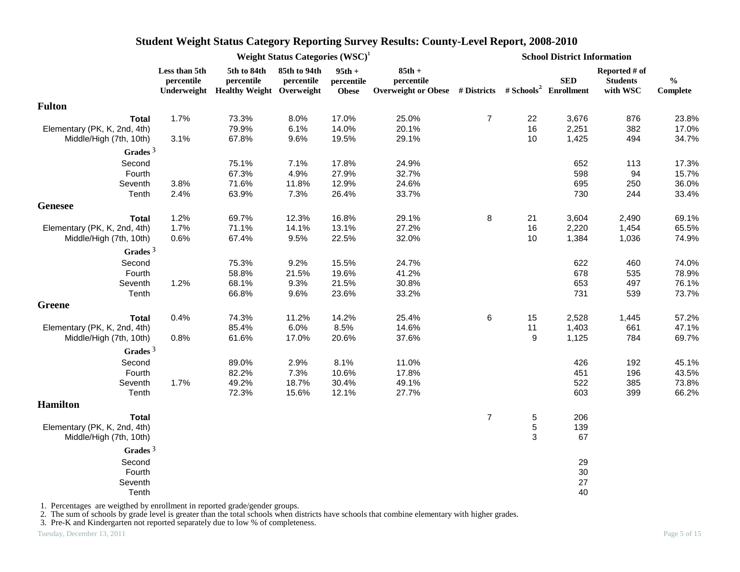|                                                         |                             |                                                                    | Weight Status Categories (WSC) <sup>1</sup> |                                        |                                                                                             |                |                  | <b>School District Information</b> |                                              |                                                |
|---------------------------------------------------------|-----------------------------|--------------------------------------------------------------------|---------------------------------------------|----------------------------------------|---------------------------------------------------------------------------------------------|----------------|------------------|------------------------------------|----------------------------------------------|------------------------------------------------|
|                                                         | Less than 5th<br>percentile | 5th to 84th<br>percentile<br>Underweight Healthy Weight Overweight | 85th to 94th<br>percentile                  | $95th +$<br>percentile<br><b>Obese</b> | $85th +$<br>percentile<br>Overweight or Obese # Districts # Schools <sup>2</sup> Enrollment |                |                  | <b>SED</b>                         | Reported # of<br><b>Students</b><br>with WSC | $\mathbf{0}_{\mathbf{0}}^{\prime}$<br>Complete |
| <b>Fulton</b>                                           |                             |                                                                    |                                             |                                        |                                                                                             |                |                  |                                    |                                              |                                                |
| <b>Total</b>                                            | 1.7%                        | 73.3%                                                              | 8.0%                                        | 17.0%                                  | 25.0%                                                                                       | $\overline{7}$ | 22               | 3,676                              | 876                                          | 23.8%                                          |
| Elementary (PK, K, 2nd, 4th)<br>Middle/High (7th, 10th) | 3.1%                        | 79.9%<br>67.8%                                                     | 6.1%<br>9.6%                                | 14.0%<br>19.5%                         | 20.1%<br>29.1%                                                                              |                | 16<br>10         | 2,251<br>1,425                     | 382<br>494                                   | 17.0%<br>34.7%                                 |
| Grades <sup>3</sup>                                     |                             |                                                                    |                                             |                                        |                                                                                             |                |                  |                                    |                                              |                                                |
| Second                                                  |                             | 75.1%                                                              | 7.1%                                        | 17.8%                                  | 24.9%                                                                                       |                |                  | 652                                | 113                                          | 17.3%                                          |
| Fourth                                                  |                             | 67.3%                                                              | 4.9%                                        | 27.9%                                  | 32.7%                                                                                       |                |                  | 598                                | 94                                           | 15.7%                                          |
| Seventh                                                 | 3.8%                        | 71.6%                                                              | 11.8%                                       | 12.9%                                  | 24.6%                                                                                       |                |                  | 695                                | 250                                          | 36.0%                                          |
| Tenth                                                   | 2.4%                        | 63.9%                                                              | 7.3%                                        | 26.4%                                  | 33.7%                                                                                       |                |                  | 730                                | 244                                          | 33.4%                                          |
| <b>Genesee</b>                                          |                             |                                                                    |                                             |                                        |                                                                                             |                |                  |                                    |                                              |                                                |
| <b>Total</b>                                            | 1.2%                        | 69.7%                                                              | 12.3%                                       | 16.8%                                  | 29.1%                                                                                       | 8              | 21               | 3,604                              | 2,490                                        | 69.1%                                          |
| Elementary (PK, K, 2nd, 4th)                            | 1.7%                        | 71.1%                                                              | 14.1%                                       | 13.1%                                  | 27.2%                                                                                       |                | 16               | 2,220                              | 1,454                                        | 65.5%                                          |
| Middle/High (7th, 10th)                                 | 0.6%                        | 67.4%                                                              | 9.5%                                        | 22.5%                                  | 32.0%                                                                                       |                | 10               | 1,384                              | 1,036                                        | 74.9%                                          |
| Grades $3$                                              |                             |                                                                    |                                             |                                        |                                                                                             |                |                  |                                    |                                              |                                                |
| Second                                                  |                             | 75.3%                                                              | 9.2%                                        | 15.5%                                  | 24.7%                                                                                       |                |                  | 622                                | 460                                          | 74.0%                                          |
| Fourth                                                  |                             | 58.8%                                                              | 21.5%                                       | 19.6%                                  | 41.2%                                                                                       |                |                  | 678                                | 535                                          | 78.9%                                          |
| Seventh                                                 | 1.2%                        | 68.1%                                                              | 9.3%                                        | 21.5%                                  | 30.8%                                                                                       |                |                  | 653                                | 497                                          | 76.1%                                          |
| Tenth                                                   |                             | 66.8%                                                              | 9.6%                                        | 23.6%                                  | 33.2%                                                                                       |                |                  | 731                                | 539                                          | 73.7%                                          |
| <b>Greene</b>                                           |                             |                                                                    |                                             |                                        |                                                                                             |                |                  |                                    |                                              |                                                |
| <b>Total</b>                                            | 0.4%                        | 74.3%                                                              | 11.2%                                       | 14.2%                                  | 25.4%                                                                                       | 6              | 15               | 2,528                              | 1,445                                        | 57.2%                                          |
| Elementary (PK, K, 2nd, 4th)                            |                             | 85.4%                                                              | 6.0%                                        | 8.5%                                   | 14.6%                                                                                       |                | 11               | 1,403                              | 661                                          | 47.1%                                          |
| Middle/High (7th, 10th)                                 | 0.8%                        | 61.6%                                                              | 17.0%                                       | 20.6%                                  | 37.6%                                                                                       |                | 9                | 1,125                              | 784                                          | 69.7%                                          |
| Grades $3$                                              |                             |                                                                    |                                             |                                        |                                                                                             |                |                  |                                    |                                              |                                                |
| Second                                                  |                             | 89.0%                                                              | 2.9%                                        | 8.1%                                   | 11.0%                                                                                       |                |                  | 426                                | 192                                          | 45.1%                                          |
| Fourth                                                  |                             | 82.2%                                                              | 7.3%                                        | 10.6%                                  | 17.8%                                                                                       |                |                  | 451                                | 196                                          | 43.5%                                          |
| Seventh                                                 | 1.7%                        | 49.2%                                                              | 18.7%                                       | 30.4%                                  | 49.1%                                                                                       |                |                  | 522                                | 385                                          | 73.8%                                          |
| Tenth                                                   |                             | 72.3%                                                              | 15.6%                                       | 12.1%                                  | 27.7%                                                                                       |                |                  | 603                                | 399                                          | 66.2%                                          |
| <b>Hamilton</b>                                         |                             |                                                                    |                                             |                                        |                                                                                             |                |                  |                                    |                                              |                                                |
| <b>Total</b>                                            |                             |                                                                    |                                             |                                        |                                                                                             | $\overline{7}$ | $\mathbf 5$      | 206                                |                                              |                                                |
| Elementary (PK, K, 2nd, 4th)<br>Middle/High (7th, 10th) |                             |                                                                    |                                             |                                        |                                                                                             |                | $\mathbf 5$<br>3 | 139<br>67                          |                                              |                                                |
| Grades $3$                                              |                             |                                                                    |                                             |                                        |                                                                                             |                |                  |                                    |                                              |                                                |
| Second                                                  |                             |                                                                    |                                             |                                        |                                                                                             |                |                  | 29                                 |                                              |                                                |
| Fourth                                                  |                             |                                                                    |                                             |                                        |                                                                                             |                |                  | $30\,$                             |                                              |                                                |
| Seventh                                                 |                             |                                                                    |                                             |                                        |                                                                                             |                |                  | 27                                 |                                              |                                                |
| Tenth                                                   |                             |                                                                    |                                             |                                        |                                                                                             |                |                  | 40                                 |                                              |                                                |

1. Percentages are weigthed by enrollment in reported grade/gender groups.

2. The sum of schools by grade level is greater than the total schools when districts have schools that combine elementary with higher grades.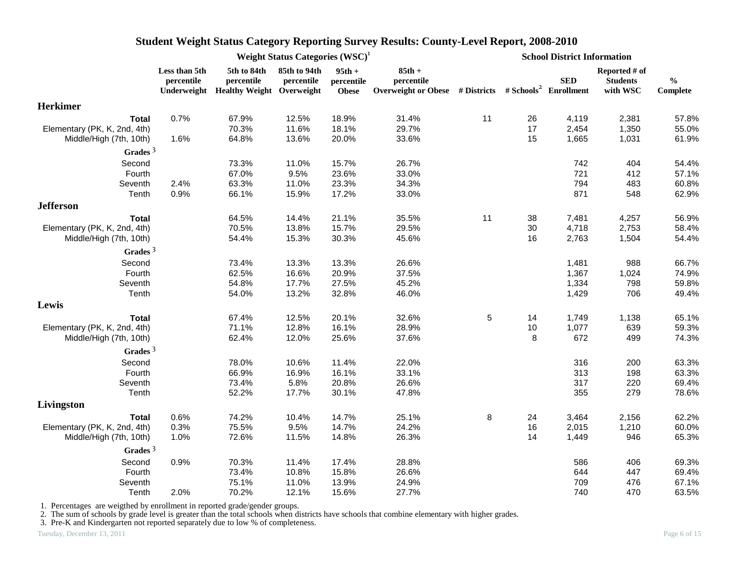| 5th to 84th<br>85th to 94th<br>$85th +$<br>Less than 5th<br>$95th +$<br>Reported # of<br>percentile<br><b>SED</b><br><b>Students</b><br>$\frac{0}{0}$<br>percentile<br>percentile<br>percentile<br>percentile<br>Overweight or Obese # Districts # Schools <sup>2</sup> Enrollment<br>Underweight Healthy Weight Overweight<br>with WSC<br>Complete<br><b>Obese</b><br><b>Total</b><br>0.7%<br>67.9%<br>18.9%<br>31.4%<br>11<br>4,119<br>2,381<br>12.5%<br>26<br>57.8%<br>70.3%<br>11.6%<br>18.1%<br>29.7%<br>17<br>55.0%<br>Elementary (PK, K, 2nd, 4th)<br>2,454<br>1,350<br>61.9%<br>1.6%<br>64.8%<br>13.6%<br>20.0%<br>33.6%<br>15<br>1,665<br>1,031<br>Middle/High (7th, 10th)<br>Grades $3$<br>73.3%<br>15.7%<br>26.7%<br>742<br>404<br>54.4%<br>Second<br>11.0%<br>67.0%<br>721<br>412<br>57.1%<br>Fourth<br>9.5%<br>23.6%<br>33.0%<br>794<br>60.8%<br>2.4%<br>63.3%<br>11.0%<br>23.3%<br>34.3%<br>483<br>Seventh<br>871<br>0.9%<br>15.9%<br>548<br>62.9%<br>Tenth<br>66.1%<br>17.2%<br>33.0%<br><b>Jefferson</b><br>21.1%<br>35.5%<br>11<br>56.9%<br><b>Total</b><br>64.5%<br>14.4%<br>38<br>7,481<br>4,257<br>30<br>70.5%<br>13.8%<br>15.7%<br>29.5%<br>4,718<br>2,753<br>58.4%<br>Elementary (PK, K, 2nd, 4th)<br>Middle/High (7th, 10th)<br>54.4%<br>15.3%<br>30.3%<br>45.6%<br>16<br>2,763<br>1,504<br>54.4%<br>Grades <sup>3</sup><br>Second<br>73.4%<br>13.3%<br>26.6%<br>988<br>66.7%<br>13.3%<br>1,481<br>Fourth<br>62.5%<br>16.6%<br>20.9%<br>37.5%<br>1,367<br>1,024<br>74.9%<br>17.7%<br>59.8%<br>Seventh<br>54.8%<br>27.5%<br>45.2%<br>1,334<br>798<br>Tenth<br>13.2%<br>706<br>54.0%<br>32.8%<br>46.0%<br>1,429<br>49.4%<br>5<br>12.5%<br>20.1%<br>32.6%<br>14<br>1,749<br>1,138<br>65.1%<br><b>Total</b><br>67.4%<br>1,077<br>59.3%<br>Elementary (PK, K, 2nd, 4th)<br>71.1%<br>12.8%<br>16.1%<br>28.9%<br>10<br>639<br>25.6%<br>37.6%<br>8<br>672<br>499<br>74.3%<br>Middle/High (7th, 10th)<br>62.4%<br>12.0%<br>Grades $3$<br>Second<br>78.0%<br>22.0%<br>316<br>10.6%<br>11.4%<br>200<br>63.3%<br>66.9%<br>313<br>63.3%<br>Fourth<br>16.9%<br>16.1%<br>33.1%<br>198<br>317<br>220<br>Seventh<br>73.4%<br>5.8%<br>20.8%<br>26.6%<br>69.4%<br>355<br>Tenth<br>52.2%<br>17.7%<br>30.1%<br>47.8%<br>279<br>78.6%<br>Livingston<br>0.6%<br>74.2%<br>10.4%<br>14.7%<br>25.1%<br>8<br>3,464<br>2,156<br>62.2%<br>24<br>Total<br>60.0%<br>Elementary (PK, K, 2nd, 4th)<br>0.3%<br>75.5%<br>9.5%<br>14.7%<br>24.2%<br>16<br>2,015<br>1,210<br>26.3%<br>1.0%<br>72.6%<br>11.5%<br>14.8%<br>14<br>1,449<br>946<br>65.3%<br>Middle/High (7th, 10th)<br>Grades $3$<br>70.3%<br>17.4%<br>28.8%<br>586<br>406<br>69.3%<br>Second<br>0.9%<br>11.4%<br>644<br>Fourth<br>73.4%<br>10.8%<br>15.8%<br>26.6%<br>447<br>69.4%<br>75.1%<br>11.0%<br>13.9%<br>24.9%<br>709<br>476<br>67.1%<br>Seventh |                 |      | Weight Status Categories (WSC) <sup>1</sup> |       |       | <b>School District Information</b> |  |     |     |       |
|---------------------------------------------------------------------------------------------------------------------------------------------------------------------------------------------------------------------------------------------------------------------------------------------------------------------------------------------------------------------------------------------------------------------------------------------------------------------------------------------------------------------------------------------------------------------------------------------------------------------------------------------------------------------------------------------------------------------------------------------------------------------------------------------------------------------------------------------------------------------------------------------------------------------------------------------------------------------------------------------------------------------------------------------------------------------------------------------------------------------------------------------------------------------------------------------------------------------------------------------------------------------------------------------------------------------------------------------------------------------------------------------------------------------------------------------------------------------------------------------------------------------------------------------------------------------------------------------------------------------------------------------------------------------------------------------------------------------------------------------------------------------------------------------------------------------------------------------------------------------------------------------------------------------------------------------------------------------------------------------------------------------------------------------------------------------------------------------------------------------------------------------------------------------------------------------------------------------------------------------------------------------------------------------------------------------------------------------------------------------------------------------------------------------------------------------------------------------------------------------------------------------------------------------------------------------------------------------------------------------------------------------------------------------------------------------------------------------------------------------------------------------------------------------------------|-----------------|------|---------------------------------------------|-------|-------|------------------------------------|--|-----|-----|-------|
|                                                                                                                                                                                                                                                                                                                                                                                                                                                                                                                                                                                                                                                                                                                                                                                                                                                                                                                                                                                                                                                                                                                                                                                                                                                                                                                                                                                                                                                                                                                                                                                                                                                                                                                                                                                                                                                                                                                                                                                                                                                                                                                                                                                                                                                                                                                                                                                                                                                                                                                                                                                                                                                                                                                                                                                                         |                 |      |                                             |       |       |                                    |  |     |     |       |
|                                                                                                                                                                                                                                                                                                                                                                                                                                                                                                                                                                                                                                                                                                                                                                                                                                                                                                                                                                                                                                                                                                                                                                                                                                                                                                                                                                                                                                                                                                                                                                                                                                                                                                                                                                                                                                                                                                                                                                                                                                                                                                                                                                                                                                                                                                                                                                                                                                                                                                                                                                                                                                                                                                                                                                                                         | <b>Herkimer</b> |      |                                             |       |       |                                    |  |     |     |       |
|                                                                                                                                                                                                                                                                                                                                                                                                                                                                                                                                                                                                                                                                                                                                                                                                                                                                                                                                                                                                                                                                                                                                                                                                                                                                                                                                                                                                                                                                                                                                                                                                                                                                                                                                                                                                                                                                                                                                                                                                                                                                                                                                                                                                                                                                                                                                                                                                                                                                                                                                                                                                                                                                                                                                                                                                         |                 |      |                                             |       |       |                                    |  |     |     |       |
|                                                                                                                                                                                                                                                                                                                                                                                                                                                                                                                                                                                                                                                                                                                                                                                                                                                                                                                                                                                                                                                                                                                                                                                                                                                                                                                                                                                                                                                                                                                                                                                                                                                                                                                                                                                                                                                                                                                                                                                                                                                                                                                                                                                                                                                                                                                                                                                                                                                                                                                                                                                                                                                                                                                                                                                                         |                 |      |                                             |       |       |                                    |  |     |     |       |
|                                                                                                                                                                                                                                                                                                                                                                                                                                                                                                                                                                                                                                                                                                                                                                                                                                                                                                                                                                                                                                                                                                                                                                                                                                                                                                                                                                                                                                                                                                                                                                                                                                                                                                                                                                                                                                                                                                                                                                                                                                                                                                                                                                                                                                                                                                                                                                                                                                                                                                                                                                                                                                                                                                                                                                                                         |                 |      |                                             |       |       |                                    |  |     |     |       |
|                                                                                                                                                                                                                                                                                                                                                                                                                                                                                                                                                                                                                                                                                                                                                                                                                                                                                                                                                                                                                                                                                                                                                                                                                                                                                                                                                                                                                                                                                                                                                                                                                                                                                                                                                                                                                                                                                                                                                                                                                                                                                                                                                                                                                                                                                                                                                                                                                                                                                                                                                                                                                                                                                                                                                                                                         |                 |      |                                             |       |       |                                    |  |     |     |       |
|                                                                                                                                                                                                                                                                                                                                                                                                                                                                                                                                                                                                                                                                                                                                                                                                                                                                                                                                                                                                                                                                                                                                                                                                                                                                                                                                                                                                                                                                                                                                                                                                                                                                                                                                                                                                                                                                                                                                                                                                                                                                                                                                                                                                                                                                                                                                                                                                                                                                                                                                                                                                                                                                                                                                                                                                         |                 |      |                                             |       |       |                                    |  |     |     |       |
|                                                                                                                                                                                                                                                                                                                                                                                                                                                                                                                                                                                                                                                                                                                                                                                                                                                                                                                                                                                                                                                                                                                                                                                                                                                                                                                                                                                                                                                                                                                                                                                                                                                                                                                                                                                                                                                                                                                                                                                                                                                                                                                                                                                                                                                                                                                                                                                                                                                                                                                                                                                                                                                                                                                                                                                                         |                 |      |                                             |       |       |                                    |  |     |     |       |
|                                                                                                                                                                                                                                                                                                                                                                                                                                                                                                                                                                                                                                                                                                                                                                                                                                                                                                                                                                                                                                                                                                                                                                                                                                                                                                                                                                                                                                                                                                                                                                                                                                                                                                                                                                                                                                                                                                                                                                                                                                                                                                                                                                                                                                                                                                                                                                                                                                                                                                                                                                                                                                                                                                                                                                                                         |                 |      |                                             |       |       |                                    |  |     |     |       |
|                                                                                                                                                                                                                                                                                                                                                                                                                                                                                                                                                                                                                                                                                                                                                                                                                                                                                                                                                                                                                                                                                                                                                                                                                                                                                                                                                                                                                                                                                                                                                                                                                                                                                                                                                                                                                                                                                                                                                                                                                                                                                                                                                                                                                                                                                                                                                                                                                                                                                                                                                                                                                                                                                                                                                                                                         |                 |      |                                             |       |       |                                    |  |     |     |       |
|                                                                                                                                                                                                                                                                                                                                                                                                                                                                                                                                                                                                                                                                                                                                                                                                                                                                                                                                                                                                                                                                                                                                                                                                                                                                                                                                                                                                                                                                                                                                                                                                                                                                                                                                                                                                                                                                                                                                                                                                                                                                                                                                                                                                                                                                                                                                                                                                                                                                                                                                                                                                                                                                                                                                                                                                         |                 |      |                                             |       |       |                                    |  |     |     |       |
|                                                                                                                                                                                                                                                                                                                                                                                                                                                                                                                                                                                                                                                                                                                                                                                                                                                                                                                                                                                                                                                                                                                                                                                                                                                                                                                                                                                                                                                                                                                                                                                                                                                                                                                                                                                                                                                                                                                                                                                                                                                                                                                                                                                                                                                                                                                                                                                                                                                                                                                                                                                                                                                                                                                                                                                                         |                 |      |                                             |       |       |                                    |  |     |     |       |
|                                                                                                                                                                                                                                                                                                                                                                                                                                                                                                                                                                                                                                                                                                                                                                                                                                                                                                                                                                                                                                                                                                                                                                                                                                                                                                                                                                                                                                                                                                                                                                                                                                                                                                                                                                                                                                                                                                                                                                                                                                                                                                                                                                                                                                                                                                                                                                                                                                                                                                                                                                                                                                                                                                                                                                                                         |                 |      |                                             |       |       |                                    |  |     |     |       |
|                                                                                                                                                                                                                                                                                                                                                                                                                                                                                                                                                                                                                                                                                                                                                                                                                                                                                                                                                                                                                                                                                                                                                                                                                                                                                                                                                                                                                                                                                                                                                                                                                                                                                                                                                                                                                                                                                                                                                                                                                                                                                                                                                                                                                                                                                                                                                                                                                                                                                                                                                                                                                                                                                                                                                                                                         |                 |      |                                             |       |       |                                    |  |     |     |       |
|                                                                                                                                                                                                                                                                                                                                                                                                                                                                                                                                                                                                                                                                                                                                                                                                                                                                                                                                                                                                                                                                                                                                                                                                                                                                                                                                                                                                                                                                                                                                                                                                                                                                                                                                                                                                                                                                                                                                                                                                                                                                                                                                                                                                                                                                                                                                                                                                                                                                                                                                                                                                                                                                                                                                                                                                         |                 |      |                                             |       |       |                                    |  |     |     |       |
|                                                                                                                                                                                                                                                                                                                                                                                                                                                                                                                                                                                                                                                                                                                                                                                                                                                                                                                                                                                                                                                                                                                                                                                                                                                                                                                                                                                                                                                                                                                                                                                                                                                                                                                                                                                                                                                                                                                                                                                                                                                                                                                                                                                                                                                                                                                                                                                                                                                                                                                                                                                                                                                                                                                                                                                                         |                 |      |                                             |       |       |                                    |  |     |     |       |
|                                                                                                                                                                                                                                                                                                                                                                                                                                                                                                                                                                                                                                                                                                                                                                                                                                                                                                                                                                                                                                                                                                                                                                                                                                                                                                                                                                                                                                                                                                                                                                                                                                                                                                                                                                                                                                                                                                                                                                                                                                                                                                                                                                                                                                                                                                                                                                                                                                                                                                                                                                                                                                                                                                                                                                                                         |                 |      |                                             |       |       |                                    |  |     |     |       |
|                                                                                                                                                                                                                                                                                                                                                                                                                                                                                                                                                                                                                                                                                                                                                                                                                                                                                                                                                                                                                                                                                                                                                                                                                                                                                                                                                                                                                                                                                                                                                                                                                                                                                                                                                                                                                                                                                                                                                                                                                                                                                                                                                                                                                                                                                                                                                                                                                                                                                                                                                                                                                                                                                                                                                                                                         |                 |      |                                             |       |       |                                    |  |     |     |       |
|                                                                                                                                                                                                                                                                                                                                                                                                                                                                                                                                                                                                                                                                                                                                                                                                                                                                                                                                                                                                                                                                                                                                                                                                                                                                                                                                                                                                                                                                                                                                                                                                                                                                                                                                                                                                                                                                                                                                                                                                                                                                                                                                                                                                                                                                                                                                                                                                                                                                                                                                                                                                                                                                                                                                                                                                         |                 |      |                                             |       |       |                                    |  |     |     |       |
|                                                                                                                                                                                                                                                                                                                                                                                                                                                                                                                                                                                                                                                                                                                                                                                                                                                                                                                                                                                                                                                                                                                                                                                                                                                                                                                                                                                                                                                                                                                                                                                                                                                                                                                                                                                                                                                                                                                                                                                                                                                                                                                                                                                                                                                                                                                                                                                                                                                                                                                                                                                                                                                                                                                                                                                                         | Lewis           |      |                                             |       |       |                                    |  |     |     |       |
|                                                                                                                                                                                                                                                                                                                                                                                                                                                                                                                                                                                                                                                                                                                                                                                                                                                                                                                                                                                                                                                                                                                                                                                                                                                                                                                                                                                                                                                                                                                                                                                                                                                                                                                                                                                                                                                                                                                                                                                                                                                                                                                                                                                                                                                                                                                                                                                                                                                                                                                                                                                                                                                                                                                                                                                                         |                 |      |                                             |       |       |                                    |  |     |     |       |
|                                                                                                                                                                                                                                                                                                                                                                                                                                                                                                                                                                                                                                                                                                                                                                                                                                                                                                                                                                                                                                                                                                                                                                                                                                                                                                                                                                                                                                                                                                                                                                                                                                                                                                                                                                                                                                                                                                                                                                                                                                                                                                                                                                                                                                                                                                                                                                                                                                                                                                                                                                                                                                                                                                                                                                                                         |                 |      |                                             |       |       |                                    |  |     |     |       |
|                                                                                                                                                                                                                                                                                                                                                                                                                                                                                                                                                                                                                                                                                                                                                                                                                                                                                                                                                                                                                                                                                                                                                                                                                                                                                                                                                                                                                                                                                                                                                                                                                                                                                                                                                                                                                                                                                                                                                                                                                                                                                                                                                                                                                                                                                                                                                                                                                                                                                                                                                                                                                                                                                                                                                                                                         |                 |      |                                             |       |       |                                    |  |     |     |       |
|                                                                                                                                                                                                                                                                                                                                                                                                                                                                                                                                                                                                                                                                                                                                                                                                                                                                                                                                                                                                                                                                                                                                                                                                                                                                                                                                                                                                                                                                                                                                                                                                                                                                                                                                                                                                                                                                                                                                                                                                                                                                                                                                                                                                                                                                                                                                                                                                                                                                                                                                                                                                                                                                                                                                                                                                         |                 |      |                                             |       |       |                                    |  |     |     |       |
|                                                                                                                                                                                                                                                                                                                                                                                                                                                                                                                                                                                                                                                                                                                                                                                                                                                                                                                                                                                                                                                                                                                                                                                                                                                                                                                                                                                                                                                                                                                                                                                                                                                                                                                                                                                                                                                                                                                                                                                                                                                                                                                                                                                                                                                                                                                                                                                                                                                                                                                                                                                                                                                                                                                                                                                                         |                 |      |                                             |       |       |                                    |  |     |     |       |
|                                                                                                                                                                                                                                                                                                                                                                                                                                                                                                                                                                                                                                                                                                                                                                                                                                                                                                                                                                                                                                                                                                                                                                                                                                                                                                                                                                                                                                                                                                                                                                                                                                                                                                                                                                                                                                                                                                                                                                                                                                                                                                                                                                                                                                                                                                                                                                                                                                                                                                                                                                                                                                                                                                                                                                                                         |                 |      |                                             |       |       |                                    |  |     |     |       |
|                                                                                                                                                                                                                                                                                                                                                                                                                                                                                                                                                                                                                                                                                                                                                                                                                                                                                                                                                                                                                                                                                                                                                                                                                                                                                                                                                                                                                                                                                                                                                                                                                                                                                                                                                                                                                                                                                                                                                                                                                                                                                                                                                                                                                                                                                                                                                                                                                                                                                                                                                                                                                                                                                                                                                                                                         |                 |      |                                             |       |       |                                    |  |     |     |       |
|                                                                                                                                                                                                                                                                                                                                                                                                                                                                                                                                                                                                                                                                                                                                                                                                                                                                                                                                                                                                                                                                                                                                                                                                                                                                                                                                                                                                                                                                                                                                                                                                                                                                                                                                                                                                                                                                                                                                                                                                                                                                                                                                                                                                                                                                                                                                                                                                                                                                                                                                                                                                                                                                                                                                                                                                         |                 |      |                                             |       |       |                                    |  |     |     |       |
|                                                                                                                                                                                                                                                                                                                                                                                                                                                                                                                                                                                                                                                                                                                                                                                                                                                                                                                                                                                                                                                                                                                                                                                                                                                                                                                                                                                                                                                                                                                                                                                                                                                                                                                                                                                                                                                                                                                                                                                                                                                                                                                                                                                                                                                                                                                                                                                                                                                                                                                                                                                                                                                                                                                                                                                                         |                 |      |                                             |       |       |                                    |  |     |     |       |
|                                                                                                                                                                                                                                                                                                                                                                                                                                                                                                                                                                                                                                                                                                                                                                                                                                                                                                                                                                                                                                                                                                                                                                                                                                                                                                                                                                                                                                                                                                                                                                                                                                                                                                                                                                                                                                                                                                                                                                                                                                                                                                                                                                                                                                                                                                                                                                                                                                                                                                                                                                                                                                                                                                                                                                                                         |                 |      |                                             |       |       |                                    |  |     |     |       |
|                                                                                                                                                                                                                                                                                                                                                                                                                                                                                                                                                                                                                                                                                                                                                                                                                                                                                                                                                                                                                                                                                                                                                                                                                                                                                                                                                                                                                                                                                                                                                                                                                                                                                                                                                                                                                                                                                                                                                                                                                                                                                                                                                                                                                                                                                                                                                                                                                                                                                                                                                                                                                                                                                                                                                                                                         |                 |      |                                             |       |       |                                    |  |     |     |       |
|                                                                                                                                                                                                                                                                                                                                                                                                                                                                                                                                                                                                                                                                                                                                                                                                                                                                                                                                                                                                                                                                                                                                                                                                                                                                                                                                                                                                                                                                                                                                                                                                                                                                                                                                                                                                                                                                                                                                                                                                                                                                                                                                                                                                                                                                                                                                                                                                                                                                                                                                                                                                                                                                                                                                                                                                         |                 |      |                                             |       |       |                                    |  |     |     |       |
|                                                                                                                                                                                                                                                                                                                                                                                                                                                                                                                                                                                                                                                                                                                                                                                                                                                                                                                                                                                                                                                                                                                                                                                                                                                                                                                                                                                                                                                                                                                                                                                                                                                                                                                                                                                                                                                                                                                                                                                                                                                                                                                                                                                                                                                                                                                                                                                                                                                                                                                                                                                                                                                                                                                                                                                                         |                 |      |                                             |       |       |                                    |  |     |     |       |
|                                                                                                                                                                                                                                                                                                                                                                                                                                                                                                                                                                                                                                                                                                                                                                                                                                                                                                                                                                                                                                                                                                                                                                                                                                                                                                                                                                                                                                                                                                                                                                                                                                                                                                                                                                                                                                                                                                                                                                                                                                                                                                                                                                                                                                                                                                                                                                                                                                                                                                                                                                                                                                                                                                                                                                                                         |                 |      |                                             |       |       |                                    |  |     |     |       |
|                                                                                                                                                                                                                                                                                                                                                                                                                                                                                                                                                                                                                                                                                                                                                                                                                                                                                                                                                                                                                                                                                                                                                                                                                                                                                                                                                                                                                                                                                                                                                                                                                                                                                                                                                                                                                                                                                                                                                                                                                                                                                                                                                                                                                                                                                                                                                                                                                                                                                                                                                                                                                                                                                                                                                                                                         |                 |      |                                             |       |       |                                    |  |     |     |       |
|                                                                                                                                                                                                                                                                                                                                                                                                                                                                                                                                                                                                                                                                                                                                                                                                                                                                                                                                                                                                                                                                                                                                                                                                                                                                                                                                                                                                                                                                                                                                                                                                                                                                                                                                                                                                                                                                                                                                                                                                                                                                                                                                                                                                                                                                                                                                                                                                                                                                                                                                                                                                                                                                                                                                                                                                         |                 |      |                                             |       |       |                                    |  |     |     |       |
|                                                                                                                                                                                                                                                                                                                                                                                                                                                                                                                                                                                                                                                                                                                                                                                                                                                                                                                                                                                                                                                                                                                                                                                                                                                                                                                                                                                                                                                                                                                                                                                                                                                                                                                                                                                                                                                                                                                                                                                                                                                                                                                                                                                                                                                                                                                                                                                                                                                                                                                                                                                                                                                                                                                                                                                                         | Tenth           | 2.0% | 70.2%                                       | 12.1% | 15.6% | 27.7%                              |  | 740 | 470 | 63.5% |

1. Percentages are weigthed by enrollment in reported grade/gender groups.

2. The sum of schools by grade level is greater than the total schools when districts have schools that combine elementary with higher grades.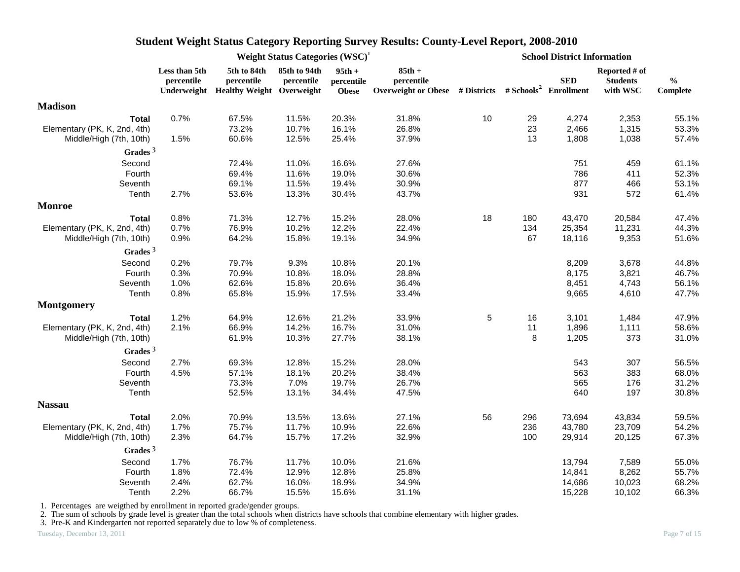|                              |                             | Weight Status Categories $(WSC)^1$<br>5th to 84th<br>85th to 94th<br>$95th +$<br>percentile<br>percentile<br>percentile<br>Underweight Healthy Weight Overweight<br><b>Obese</b><br>0.7%<br>67.5%<br>20.3%<br>11.5%<br>73.2%<br>10.7%<br>16.1%<br>1.5%<br>60.6%<br>12.5%<br>25.4%<br>72.4%<br>11.0%<br>16.6%<br>69.4%<br>11.6%<br>19.0%<br>69.1%<br>11.5%<br>19.4%<br>2.7%<br>53.6%<br>13.3%<br>30.4%<br>0.8%<br>71.3%<br>12.7%<br>15.2%<br>76.9%<br>10.2%<br>0.7%<br>12.2%<br>64.2%<br>15.8%<br>0.9%<br>19.1%<br>0.2%<br>79.7%<br>9.3%<br>10.8%<br>0.3%<br>70.9%<br>10.8%<br>18.0%<br>1.0%<br>62.6%<br>15.8%<br>20.6%<br>0.8%<br>65.8%<br>15.9%<br>17.5%<br>1.2%<br>21.2%<br>64.9%<br>12.6%<br>66.9%<br>14.2%<br>16.7%<br>2.1%<br>61.9%<br>10.3%<br>27.7%<br>2.7%<br>69.3%<br>12.8%<br>15.2%<br>57.1%<br>4.5%<br>18.1%<br>20.2%<br>73.3%<br>7.0%<br>19.7%<br>52.5%<br>13.1%<br>34.4%<br>2.0%<br>70.9%<br>13.5%<br>13.6%<br>1.7%<br>75.7%<br>11.7%<br>10.9%<br>64.7%<br>2.3%<br>15.7%<br>17.2% |       |       |                                                                                             |    |     | <b>School District Information</b> |                                              |                           |  |
|------------------------------|-----------------------------|------------------------------------------------------------------------------------------------------------------------------------------------------------------------------------------------------------------------------------------------------------------------------------------------------------------------------------------------------------------------------------------------------------------------------------------------------------------------------------------------------------------------------------------------------------------------------------------------------------------------------------------------------------------------------------------------------------------------------------------------------------------------------------------------------------------------------------------------------------------------------------------------------------------------------------------------------------------------------------------------|-------|-------|---------------------------------------------------------------------------------------------|----|-----|------------------------------------|----------------------------------------------|---------------------------|--|
|                              | Less than 5th<br>percentile |                                                                                                                                                                                                                                                                                                                                                                                                                                                                                                                                                                                                                                                                                                                                                                                                                                                                                                                                                                                                |       |       | $85th +$<br>percentile<br>Overweight or Obese # Districts # Schools <sup>2</sup> Enrollment |    |     | <b>SED</b>                         | Reported # of<br><b>Students</b><br>with WSC | $\frac{0}{0}$<br>Complete |  |
| <b>Madison</b>               |                             |                                                                                                                                                                                                                                                                                                                                                                                                                                                                                                                                                                                                                                                                                                                                                                                                                                                                                                                                                                                                |       |       |                                                                                             |    |     |                                    |                                              |                           |  |
| Total                        |                             |                                                                                                                                                                                                                                                                                                                                                                                                                                                                                                                                                                                                                                                                                                                                                                                                                                                                                                                                                                                                |       |       | 31.8%                                                                                       | 10 | 29  | 4,274                              | 2,353                                        | 55.1%                     |  |
| Elementary (PK, K, 2nd, 4th) |                             |                                                                                                                                                                                                                                                                                                                                                                                                                                                                                                                                                                                                                                                                                                                                                                                                                                                                                                                                                                                                |       |       | 26.8%                                                                                       |    | 23  | 2,466                              | 1,315                                        | 53.3%                     |  |
| Middle/High (7th, 10th)      |                             |                                                                                                                                                                                                                                                                                                                                                                                                                                                                                                                                                                                                                                                                                                                                                                                                                                                                                                                                                                                                |       |       | 37.9%                                                                                       |    | 13  | 1,808                              | 1,038                                        | 57.4%                     |  |
| Grades $3$                   |                             |                                                                                                                                                                                                                                                                                                                                                                                                                                                                                                                                                                                                                                                                                                                                                                                                                                                                                                                                                                                                |       |       |                                                                                             |    |     |                                    |                                              |                           |  |
| Second                       |                             |                                                                                                                                                                                                                                                                                                                                                                                                                                                                                                                                                                                                                                                                                                                                                                                                                                                                                                                                                                                                |       |       | 27.6%                                                                                       |    |     | 751                                | 459                                          | 61.1%                     |  |
| Fourth                       |                             |                                                                                                                                                                                                                                                                                                                                                                                                                                                                                                                                                                                                                                                                                                                                                                                                                                                                                                                                                                                                |       |       | 30.6%                                                                                       |    |     | 786                                | 411                                          | 52.3%                     |  |
| Seventh                      |                             |                                                                                                                                                                                                                                                                                                                                                                                                                                                                                                                                                                                                                                                                                                                                                                                                                                                                                                                                                                                                |       |       | 30.9%                                                                                       |    |     | 877                                | 466                                          | 53.1%                     |  |
| Tenth                        |                             |                                                                                                                                                                                                                                                                                                                                                                                                                                                                                                                                                                                                                                                                                                                                                                                                                                                                                                                                                                                                |       |       | 43.7%                                                                                       |    |     | 931                                | 572                                          | 61.4%                     |  |
| <b>Monroe</b>                |                             |                                                                                                                                                                                                                                                                                                                                                                                                                                                                                                                                                                                                                                                                                                                                                                                                                                                                                                                                                                                                |       |       |                                                                                             |    |     |                                    |                                              |                           |  |
| <b>Total</b>                 |                             |                                                                                                                                                                                                                                                                                                                                                                                                                                                                                                                                                                                                                                                                                                                                                                                                                                                                                                                                                                                                |       |       | 28.0%                                                                                       | 18 | 180 | 43,470                             | 20,584                                       | 47.4%                     |  |
| Elementary (PK, K, 2nd, 4th) |                             |                                                                                                                                                                                                                                                                                                                                                                                                                                                                                                                                                                                                                                                                                                                                                                                                                                                                                                                                                                                                |       |       | 22.4%                                                                                       |    | 134 | 25,354                             | 11,231                                       | 44.3%                     |  |
| Middle/High (7th, 10th)      |                             |                                                                                                                                                                                                                                                                                                                                                                                                                                                                                                                                                                                                                                                                                                                                                                                                                                                                                                                                                                                                |       |       | 34.9%                                                                                       |    | 67  | 18,116                             | 9,353                                        | 51.6%                     |  |
| Grades $3$                   |                             |                                                                                                                                                                                                                                                                                                                                                                                                                                                                                                                                                                                                                                                                                                                                                                                                                                                                                                                                                                                                |       |       |                                                                                             |    |     |                                    |                                              |                           |  |
| Second                       |                             |                                                                                                                                                                                                                                                                                                                                                                                                                                                                                                                                                                                                                                                                                                                                                                                                                                                                                                                                                                                                |       |       | 20.1%                                                                                       |    |     | 8,209                              | 3,678                                        | 44.8%                     |  |
| Fourth                       |                             |                                                                                                                                                                                                                                                                                                                                                                                                                                                                                                                                                                                                                                                                                                                                                                                                                                                                                                                                                                                                |       |       | 28.8%                                                                                       |    |     | 8,175                              | 3,821                                        | 46.7%                     |  |
| Seventh                      |                             |                                                                                                                                                                                                                                                                                                                                                                                                                                                                                                                                                                                                                                                                                                                                                                                                                                                                                                                                                                                                |       |       | 36.4%                                                                                       |    |     | 8,451                              | 4,743                                        | 56.1%                     |  |
| Tenth                        |                             |                                                                                                                                                                                                                                                                                                                                                                                                                                                                                                                                                                                                                                                                                                                                                                                                                                                                                                                                                                                                |       |       | 33.4%                                                                                       |    |     | 9,665                              | 4,610                                        | 47.7%                     |  |
| <b>Montgomery</b>            |                             |                                                                                                                                                                                                                                                                                                                                                                                                                                                                                                                                                                                                                                                                                                                                                                                                                                                                                                                                                                                                |       |       |                                                                                             |    |     |                                    |                                              |                           |  |
| <b>Total</b>                 |                             |                                                                                                                                                                                                                                                                                                                                                                                                                                                                                                                                                                                                                                                                                                                                                                                                                                                                                                                                                                                                |       |       | 33.9%                                                                                       | 5  | 16  | 3,101                              | 1,484                                        | 47.9%                     |  |
| Elementary (PK, K, 2nd, 4th) |                             |                                                                                                                                                                                                                                                                                                                                                                                                                                                                                                                                                                                                                                                                                                                                                                                                                                                                                                                                                                                                |       |       | 31.0%                                                                                       |    | 11  | 1,896                              | 1,111                                        | 58.6%                     |  |
| Middle/High (7th, 10th)      |                             |                                                                                                                                                                                                                                                                                                                                                                                                                                                                                                                                                                                                                                                                                                                                                                                                                                                                                                                                                                                                |       |       | 38.1%                                                                                       |    | 8   | 1,205                              | 373                                          | 31.0%                     |  |
| Grades $3$                   |                             |                                                                                                                                                                                                                                                                                                                                                                                                                                                                                                                                                                                                                                                                                                                                                                                                                                                                                                                                                                                                |       |       |                                                                                             |    |     |                                    |                                              |                           |  |
| Second                       |                             |                                                                                                                                                                                                                                                                                                                                                                                                                                                                                                                                                                                                                                                                                                                                                                                                                                                                                                                                                                                                |       |       | 28.0%                                                                                       |    |     | 543                                | 307                                          | 56.5%                     |  |
| Fourth                       |                             |                                                                                                                                                                                                                                                                                                                                                                                                                                                                                                                                                                                                                                                                                                                                                                                                                                                                                                                                                                                                |       |       | 38.4%                                                                                       |    |     | 563                                | 383                                          | 68.0%                     |  |
| Seventh                      |                             |                                                                                                                                                                                                                                                                                                                                                                                                                                                                                                                                                                                                                                                                                                                                                                                                                                                                                                                                                                                                |       |       | 26.7%                                                                                       |    |     | 565                                | 176                                          | 31.2%                     |  |
| Tenth                        |                             |                                                                                                                                                                                                                                                                                                                                                                                                                                                                                                                                                                                                                                                                                                                                                                                                                                                                                                                                                                                                |       |       | 47.5%                                                                                       |    |     | 640                                | 197                                          | 30.8%                     |  |
| <b>Nassau</b>                |                             |                                                                                                                                                                                                                                                                                                                                                                                                                                                                                                                                                                                                                                                                                                                                                                                                                                                                                                                                                                                                |       |       |                                                                                             |    |     |                                    |                                              |                           |  |
| <b>Total</b>                 |                             |                                                                                                                                                                                                                                                                                                                                                                                                                                                                                                                                                                                                                                                                                                                                                                                                                                                                                                                                                                                                |       |       | 27.1%                                                                                       | 56 | 296 | 73,694                             | 43,834                                       | 59.5%                     |  |
| Elementary (PK, K, 2nd, 4th) |                             |                                                                                                                                                                                                                                                                                                                                                                                                                                                                                                                                                                                                                                                                                                                                                                                                                                                                                                                                                                                                |       |       | 22.6%                                                                                       |    | 236 | 43,780                             | 23,709                                       | 54.2%                     |  |
| Middle/High (7th, 10th)      |                             |                                                                                                                                                                                                                                                                                                                                                                                                                                                                                                                                                                                                                                                                                                                                                                                                                                                                                                                                                                                                |       |       | 32.9%                                                                                       |    | 100 | 29,914                             | 20,125                                       | 67.3%                     |  |
| Grades $3$                   |                             |                                                                                                                                                                                                                                                                                                                                                                                                                                                                                                                                                                                                                                                                                                                                                                                                                                                                                                                                                                                                |       |       |                                                                                             |    |     |                                    |                                              |                           |  |
| Second                       | 1.7%                        | 76.7%                                                                                                                                                                                                                                                                                                                                                                                                                                                                                                                                                                                                                                                                                                                                                                                                                                                                                                                                                                                          | 11.7% | 10.0% | 21.6%                                                                                       |    |     | 13,794                             |                                              |                           |  |
| Fourth                       | 1.8%                        | 72.4%                                                                                                                                                                                                                                                                                                                                                                                                                                                                                                                                                                                                                                                                                                                                                                                                                                                                                                                                                                                          | 12.9% | 12.8% | 25.8%                                                                                       |    |     | 14,841                             | 7,589<br>8,262                               | 55.0%<br>55.7%            |  |
| Seventh                      | 2.4%                        | 62.7%                                                                                                                                                                                                                                                                                                                                                                                                                                                                                                                                                                                                                                                                                                                                                                                                                                                                                                                                                                                          | 16.0% | 18.9% | 34.9%                                                                                       |    |     | 14,686                             | 10,023                                       | 68.2%                     |  |
| Tenth                        | 2.2%                        | 66.7%                                                                                                                                                                                                                                                                                                                                                                                                                                                                                                                                                                                                                                                                                                                                                                                                                                                                                                                                                                                          | 15.5% | 15.6% | 31.1%                                                                                       |    |     | 15,228                             | 10,102                                       | 66.3%                     |  |
|                              |                             |                                                                                                                                                                                                                                                                                                                                                                                                                                                                                                                                                                                                                                                                                                                                                                                                                                                                                                                                                                                                |       |       |                                                                                             |    |     |                                    |                                              |                           |  |

1. Percentages are weigthed by enrollment in reported grade/gender groups.

2. The sum of schools by grade level is greater than the total schools when districts have schools that combine elementary with higher grades.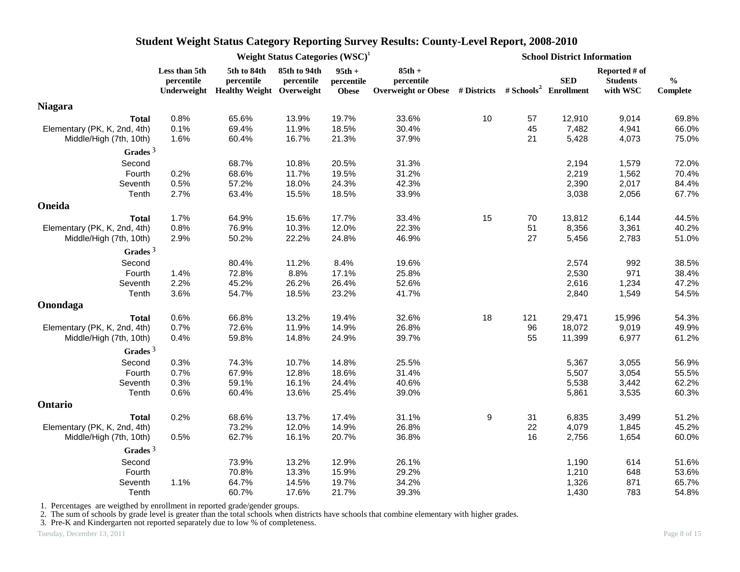|                              |                             |                                                                    | Weight Status Categories $(WSC)^1$ |                                        |                        | <b>School District Information</b><br>Reported # of<br><b>SED</b><br><b>Students</b><br>Overweight or Obese # Districts # Schools <sup>2</sup> Enrollment<br>with WSC<br>10<br>12,910<br>57<br>9,014<br>45<br>7,482<br>4,941<br>21<br>5,428<br>4,073<br>2,194<br>1,579<br>2,219<br>1,562<br>2,390<br>2,017<br>3,038<br>2,056<br>15<br>70<br>13,812<br>6,144<br>51<br>8,356<br>3,361<br>27<br>5,456<br>2,783<br>2,574<br>992<br>2,530<br>971<br>2,616<br>1,234<br>2,840<br>1,549<br>18<br>121<br>29,471<br>15,996<br>96<br>18,072<br>9,019<br>55<br>11,399<br>6,977<br>5,367<br>3,055<br>5,507<br>3,054<br>5,538<br>3,442<br>5,861<br>3,535<br>9<br>31<br>6,835<br>3,499<br>22<br>4,079<br>1,845<br>16<br>2,756<br>1,654<br>614<br>1,190<br>1,210<br>648 |       |     |                           |
|------------------------------|-----------------------------|--------------------------------------------------------------------|------------------------------------|----------------------------------------|------------------------|---------------------------------------------------------------------------------------------------------------------------------------------------------------------------------------------------------------------------------------------------------------------------------------------------------------------------------------------------------------------------------------------------------------------------------------------------------------------------------------------------------------------------------------------------------------------------------------------------------------------------------------------------------------------------------------------------------------------------------------------------------|-------|-----|---------------------------|
|                              | Less than 5th<br>percentile | 5th to 84th<br>percentile<br>Underweight Healthy Weight Overweight | 85th to 94th<br>percentile         | $95th +$<br>percentile<br><b>Obese</b> | $85th +$<br>percentile |                                                                                                                                                                                                                                                                                                                                                                                                                                                                                                                                                                                                                                                                                                                                                         |       |     | $\frac{0}{0}$<br>Complete |
| <b>Niagara</b>               |                             |                                                                    |                                    |                                        |                        |                                                                                                                                                                                                                                                                                                                                                                                                                                                                                                                                                                                                                                                                                                                                                         |       |     |                           |
| <b>Total</b>                 | 0.8%                        | 65.6%                                                              | 13.9%                              | 19.7%                                  | 33.6%                  |                                                                                                                                                                                                                                                                                                                                                                                                                                                                                                                                                                                                                                                                                                                                                         |       |     | 69.8%                     |
| Elementary (PK, K, 2nd, 4th) | 0.1%                        | 69.4%                                                              | 11.9%                              | 18.5%                                  | 30.4%                  |                                                                                                                                                                                                                                                                                                                                                                                                                                                                                                                                                                                                                                                                                                                                                         |       |     | 66.0%                     |
| Middle/High (7th, 10th)      | 1.6%                        | 60.4%                                                              | 16.7%                              | 21.3%                                  | 37.9%                  |                                                                                                                                                                                                                                                                                                                                                                                                                                                                                                                                                                                                                                                                                                                                                         |       |     | 75.0%                     |
| Grades $3$                   |                             |                                                                    |                                    |                                        |                        |                                                                                                                                                                                                                                                                                                                                                                                                                                                                                                                                                                                                                                                                                                                                                         |       |     |                           |
| Second                       |                             | 68.7%                                                              | 10.8%                              | 20.5%                                  | 31.3%                  |                                                                                                                                                                                                                                                                                                                                                                                                                                                                                                                                                                                                                                                                                                                                                         |       |     | 72.0%                     |
| Fourth                       | 0.2%                        | 68.6%                                                              | 11.7%                              | 19.5%                                  | 31.2%                  |                                                                                                                                                                                                                                                                                                                                                                                                                                                                                                                                                                                                                                                                                                                                                         |       |     | 70.4%                     |
| Seventh                      | 0.5%                        | 57.2%                                                              | 18.0%                              | 24.3%                                  | 42.3%                  |                                                                                                                                                                                                                                                                                                                                                                                                                                                                                                                                                                                                                                                                                                                                                         |       |     | 84.4%                     |
| Tenth                        | 2.7%                        | 63.4%                                                              | 15.5%                              | 18.5%                                  | 33.9%                  |                                                                                                                                                                                                                                                                                                                                                                                                                                                                                                                                                                                                                                                                                                                                                         |       |     | 67.7%                     |
| Oneida                       |                             |                                                                    |                                    |                                        |                        |                                                                                                                                                                                                                                                                                                                                                                                                                                                                                                                                                                                                                                                                                                                                                         |       |     |                           |
| <b>Total</b>                 | 1.7%                        | 64.9%                                                              | 15.6%                              | 17.7%                                  | 33.4%                  |                                                                                                                                                                                                                                                                                                                                                                                                                                                                                                                                                                                                                                                                                                                                                         |       |     | 44.5%                     |
| Elementary (PK, K, 2nd, 4th) | 0.8%                        | 76.9%                                                              | 10.3%                              | 12.0%                                  | 22.3%                  |                                                                                                                                                                                                                                                                                                                                                                                                                                                                                                                                                                                                                                                                                                                                                         |       |     | 40.2%                     |
| Middle/High (7th, 10th)      | 2.9%                        | 50.2%                                                              | 22.2%                              | 24.8%                                  | 46.9%                  |                                                                                                                                                                                                                                                                                                                                                                                                                                                                                                                                                                                                                                                                                                                                                         |       |     | 51.0%                     |
| Grades $3$                   |                             |                                                                    |                                    |                                        |                        |                                                                                                                                                                                                                                                                                                                                                                                                                                                                                                                                                                                                                                                                                                                                                         |       |     |                           |
| Second                       |                             | 80.4%                                                              | 11.2%                              | 8.4%                                   | 19.6%                  |                                                                                                                                                                                                                                                                                                                                                                                                                                                                                                                                                                                                                                                                                                                                                         |       |     | 38.5%                     |
| Fourth                       | 1.4%                        | 72.8%                                                              | 8.8%                               | 17.1%                                  | 25.8%                  |                                                                                                                                                                                                                                                                                                                                                                                                                                                                                                                                                                                                                                                                                                                                                         |       |     | 38.4%                     |
| Seventh                      | 2.2%                        | 45.2%                                                              | 26.2%                              | 26.4%                                  | 52.6%                  |                                                                                                                                                                                                                                                                                                                                                                                                                                                                                                                                                                                                                                                                                                                                                         |       |     | 47.2%                     |
| Tenth                        | 3.6%                        | 54.7%                                                              | 18.5%                              | 23.2%                                  | 41.7%                  |                                                                                                                                                                                                                                                                                                                                                                                                                                                                                                                                                                                                                                                                                                                                                         |       |     | 54.5%                     |
| Onondaga                     |                             |                                                                    |                                    |                                        |                        |                                                                                                                                                                                                                                                                                                                                                                                                                                                                                                                                                                                                                                                                                                                                                         |       |     |                           |
| <b>Total</b>                 | 0.6%                        | 66.8%                                                              | 13.2%                              | 19.4%                                  | 32.6%                  |                                                                                                                                                                                                                                                                                                                                                                                                                                                                                                                                                                                                                                                                                                                                                         |       |     | 54.3%                     |
| Elementary (PK, K, 2nd, 4th) | 0.7%                        | 72.6%                                                              | 11.9%                              | 14.9%                                  | 26.8%                  |                                                                                                                                                                                                                                                                                                                                                                                                                                                                                                                                                                                                                                                                                                                                                         |       |     | 49.9%                     |
| Middle/High (7th, 10th)      | 0.4%                        | 59.8%                                                              | 14.8%                              | 24.9%                                  | 39.7%                  |                                                                                                                                                                                                                                                                                                                                                                                                                                                                                                                                                                                                                                                                                                                                                         |       |     | 61.2%                     |
| Grades $3$                   |                             |                                                                    |                                    |                                        |                        |                                                                                                                                                                                                                                                                                                                                                                                                                                                                                                                                                                                                                                                                                                                                                         |       |     |                           |
| Second                       | 0.3%                        | 74.3%                                                              | 10.7%                              | 14.8%                                  | 25.5%                  |                                                                                                                                                                                                                                                                                                                                                                                                                                                                                                                                                                                                                                                                                                                                                         |       |     | 56.9%                     |
| Fourth                       | 0.7%                        | 67.9%                                                              | 12.8%                              | 18.6%                                  | 31.4%                  |                                                                                                                                                                                                                                                                                                                                                                                                                                                                                                                                                                                                                                                                                                                                                         |       |     | 55.5%                     |
| Seventh                      | 0.3%                        | 59.1%                                                              | 16.1%                              | 24.4%                                  | 40.6%                  |                                                                                                                                                                                                                                                                                                                                                                                                                                                                                                                                                                                                                                                                                                                                                         |       |     | 62.2%                     |
| Tenth                        | 0.6%                        | 60.4%                                                              | 13.6%                              | 25.4%                                  | 39.0%                  |                                                                                                                                                                                                                                                                                                                                                                                                                                                                                                                                                                                                                                                                                                                                                         |       |     | 60.3%                     |
| Ontario                      |                             |                                                                    |                                    |                                        |                        |                                                                                                                                                                                                                                                                                                                                                                                                                                                                                                                                                                                                                                                                                                                                                         |       |     |                           |
| <b>Total</b>                 | 0.2%                        | 68.6%                                                              | 13.7%                              | 17.4%                                  | 31.1%                  |                                                                                                                                                                                                                                                                                                                                                                                                                                                                                                                                                                                                                                                                                                                                                         |       |     | 51.2%                     |
| Elementary (PK, K, 2nd, 4th) |                             | 73.2%                                                              | 12.0%                              | 14.9%                                  | 26.8%                  |                                                                                                                                                                                                                                                                                                                                                                                                                                                                                                                                                                                                                                                                                                                                                         |       |     | 45.2%                     |
| Middle/High (7th, 10th)      | 0.5%                        | 62.7%                                                              | 16.1%                              | 20.7%                                  | 36.8%                  |                                                                                                                                                                                                                                                                                                                                                                                                                                                                                                                                                                                                                                                                                                                                                         |       |     | 60.0%                     |
| Grades $3$                   |                             |                                                                    |                                    |                                        |                        |                                                                                                                                                                                                                                                                                                                                                                                                                                                                                                                                                                                                                                                                                                                                                         |       |     |                           |
| Second                       |                             | 73.9%                                                              | 13.2%                              | 12.9%                                  | 26.1%                  |                                                                                                                                                                                                                                                                                                                                                                                                                                                                                                                                                                                                                                                                                                                                                         |       |     | 51.6%                     |
| Fourth                       |                             | 70.8%                                                              | 13.3%                              | 15.9%                                  | 29.2%                  |                                                                                                                                                                                                                                                                                                                                                                                                                                                                                                                                                                                                                                                                                                                                                         |       |     | 53.6%                     |
| Seventh                      | 1.1%                        | 64.7%                                                              | 14.5%                              | 19.7%                                  | 34.2%                  |                                                                                                                                                                                                                                                                                                                                                                                                                                                                                                                                                                                                                                                                                                                                                         | 1,326 | 871 | 65.7%                     |
| Tenth                        |                             | 60.7%                                                              | 17.6%                              | 21.7%                                  | 39.3%                  |                                                                                                                                                                                                                                                                                                                                                                                                                                                                                                                                                                                                                                                                                                                                                         | 1,430 | 783 | 54.8%                     |

1. Percentages are weigthed by enrollment in reported grade/gender groups.

2. The sum of schools by grade level is greater than the total schools when districts have schools that combine elementary with higher grades.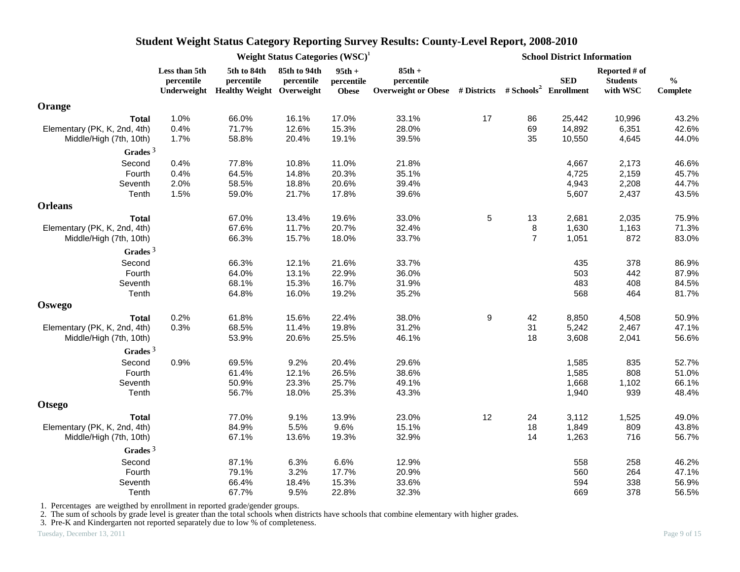|                              |                             | Weight Status Categories $(WSC)^1$<br>5th to 84th<br>85th to 94th<br>$95th +$<br>percentile<br>percentile<br>percentile<br>Underweight Healthy Weight Overweight<br><b>Obese</b><br>1.0%<br>66.0%<br>17.0%<br>16.1%<br>0.4%<br>71.7%<br>12.6%<br>15.3%<br>1.7%<br>58.8%<br>20.4%<br>19.1%<br>39.5%<br>0.4%<br>77.8%<br>11.0%<br>10.8%<br>64.5%<br>0.4%<br>14.8%<br>20.3%<br>35.1%<br>2.0%<br>58.5%<br>18.8%<br>20.6%<br>39.4%<br>1.5%<br>59.0%<br>21.7%<br>17.8%<br>39.6%<br>19.6%<br>33.0%<br>67.0%<br>13.4%<br>67.6%<br>11.7%<br>20.7%<br>32.4%<br>66.3%<br>15.7%<br>18.0%<br>33.7%<br>66.3%<br>21.6%<br>12.1%<br>64.0%<br>22.9%<br>13.1%<br>68.1%<br>15.3%<br>16.7%<br>31.9%<br>64.8%<br>16.0%<br>19.2%<br>35.2%<br>61.8%<br>15.6%<br>22.4%<br>0.3%<br>68.5%<br>11.4%<br>19.8%<br>25.5%<br>46.1%<br>53.9%<br>20.6%<br>69.5%<br>9.2%<br>20.4%<br>61.4%<br>12.1%<br>26.5%<br>50.9%<br>23.3%<br>25.7%<br>56.7%<br>18.0%<br>25.3%<br>43.3%<br>77.0%<br>9.1%<br>13.9%<br>84.9%<br>5.5%<br>9.6%<br>67.1%<br>13.6%<br>19.3%<br>32.9% |       |       |                                                                                             | <b>School District Information</b> |                |            |                                              |                           |
|------------------------------|-----------------------------|----------------------------------------------------------------------------------------------------------------------------------------------------------------------------------------------------------------------------------------------------------------------------------------------------------------------------------------------------------------------------------------------------------------------------------------------------------------------------------------------------------------------------------------------------------------------------------------------------------------------------------------------------------------------------------------------------------------------------------------------------------------------------------------------------------------------------------------------------------------------------------------------------------------------------------------------------------------------------------------------------------------------------------|-------|-------|---------------------------------------------------------------------------------------------|------------------------------------|----------------|------------|----------------------------------------------|---------------------------|
|                              | Less than 5th<br>percentile |                                                                                                                                                                                                                                                                                                                                                                                                                                                                                                                                                                                                                                                                                                                                                                                                                                                                                                                                                                                                                                  |       |       | $85th +$<br>percentile<br>Overweight or Obese # Districts # Schools <sup>2</sup> Enrollment |                                    |                | <b>SED</b> | Reported # of<br><b>Students</b><br>with WSC | $\frac{0}{0}$<br>Complete |
| Orange                       |                             |                                                                                                                                                                                                                                                                                                                                                                                                                                                                                                                                                                                                                                                                                                                                                                                                                                                                                                                                                                                                                                  |       |       |                                                                                             |                                    |                |            |                                              |                           |
| <b>Total</b>                 |                             |                                                                                                                                                                                                                                                                                                                                                                                                                                                                                                                                                                                                                                                                                                                                                                                                                                                                                                                                                                                                                                  |       |       | 33.1%                                                                                       | 17                                 | 86             | 25,442     | 10,996                                       | 43.2%                     |
| Elementary (PK, K, 2nd, 4th) |                             |                                                                                                                                                                                                                                                                                                                                                                                                                                                                                                                                                                                                                                                                                                                                                                                                                                                                                                                                                                                                                                  |       |       | 28.0%                                                                                       |                                    | 69             | 14,892     | 6,351                                        | 42.6%                     |
| Middle/High (7th, 10th)      |                             |                                                                                                                                                                                                                                                                                                                                                                                                                                                                                                                                                                                                                                                                                                                                                                                                                                                                                                                                                                                                                                  |       |       |                                                                                             |                                    | 35             | 10,550     | 4,645                                        | 44.0%                     |
| Grades $3$                   |                             |                                                                                                                                                                                                                                                                                                                                                                                                                                                                                                                                                                                                                                                                                                                                                                                                                                                                                                                                                                                                                                  |       |       |                                                                                             |                                    |                |            |                                              |                           |
| Second                       |                             |                                                                                                                                                                                                                                                                                                                                                                                                                                                                                                                                                                                                                                                                                                                                                                                                                                                                                                                                                                                                                                  |       |       | 21.8%                                                                                       |                                    |                | 4,667      | 2,173                                        | 46.6%                     |
| Fourth                       |                             |                                                                                                                                                                                                                                                                                                                                                                                                                                                                                                                                                                                                                                                                                                                                                                                                                                                                                                                                                                                                                                  |       |       |                                                                                             |                                    |                | 4,725      | 2,159                                        | 45.7%                     |
| Seventh                      |                             |                                                                                                                                                                                                                                                                                                                                                                                                                                                                                                                                                                                                                                                                                                                                                                                                                                                                                                                                                                                                                                  |       |       |                                                                                             |                                    |                | 4,943      | 2,208                                        | 44.7%                     |
| Tenth                        |                             |                                                                                                                                                                                                                                                                                                                                                                                                                                                                                                                                                                                                                                                                                                                                                                                                                                                                                                                                                                                                                                  |       |       |                                                                                             |                                    |                | 5,607      | 2,437                                        | 43.5%                     |
| <b>Orleans</b>               |                             |                                                                                                                                                                                                                                                                                                                                                                                                                                                                                                                                                                                                                                                                                                                                                                                                                                                                                                                                                                                                                                  |       |       |                                                                                             |                                    |                |            |                                              |                           |
| <b>Total</b>                 |                             |                                                                                                                                                                                                                                                                                                                                                                                                                                                                                                                                                                                                                                                                                                                                                                                                                                                                                                                                                                                                                                  |       |       |                                                                                             | 5                                  | 13             | 2,681      | 2,035                                        | 75.9%                     |
| Elementary (PK, K, 2nd, 4th) |                             |                                                                                                                                                                                                                                                                                                                                                                                                                                                                                                                                                                                                                                                                                                                                                                                                                                                                                                                                                                                                                                  |       |       |                                                                                             |                                    | 8              | 1,630      | 1,163                                        | 71.3%                     |
| Middle/High (7th, 10th)      |                             |                                                                                                                                                                                                                                                                                                                                                                                                                                                                                                                                                                                                                                                                                                                                                                                                                                                                                                                                                                                                                                  |       |       |                                                                                             |                                    | $\overline{7}$ | 1,051      | 872                                          | 83.0%                     |
| Grades <sup>3</sup>          |                             |                                                                                                                                                                                                                                                                                                                                                                                                                                                                                                                                                                                                                                                                                                                                                                                                                                                                                                                                                                                                                                  |       |       |                                                                                             |                                    |                |            |                                              |                           |
| Second                       |                             |                                                                                                                                                                                                                                                                                                                                                                                                                                                                                                                                                                                                                                                                                                                                                                                                                                                                                                                                                                                                                                  |       |       | 33.7%                                                                                       |                                    |                | 435        | 378                                          | 86.9%                     |
| Fourth                       |                             |                                                                                                                                                                                                                                                                                                                                                                                                                                                                                                                                                                                                                                                                                                                                                                                                                                                                                                                                                                                                                                  |       |       | 36.0%                                                                                       |                                    |                | 503        | 442                                          | 87.9%                     |
| Seventh                      |                             |                                                                                                                                                                                                                                                                                                                                                                                                                                                                                                                                                                                                                                                                                                                                                                                                                                                                                                                                                                                                                                  |       |       |                                                                                             |                                    |                | 483        | 408                                          | 84.5%                     |
| Tenth                        |                             |                                                                                                                                                                                                                                                                                                                                                                                                                                                                                                                                                                                                                                                                                                                                                                                                                                                                                                                                                                                                                                  |       |       |                                                                                             |                                    |                | 568        | 464                                          | 81.7%                     |
| <b>Oswego</b>                |                             |                                                                                                                                                                                                                                                                                                                                                                                                                                                                                                                                                                                                                                                                                                                                                                                                                                                                                                                                                                                                                                  |       |       |                                                                                             |                                    |                |            |                                              |                           |
| <b>Total</b>                 | 0.2%                        |                                                                                                                                                                                                                                                                                                                                                                                                                                                                                                                                                                                                                                                                                                                                                                                                                                                                                                                                                                                                                                  |       |       | 38.0%                                                                                       | $\boldsymbol{9}$                   | 42             | 8,850      | 4,508                                        | 50.9%                     |
| Elementary (PK, K, 2nd, 4th) |                             |                                                                                                                                                                                                                                                                                                                                                                                                                                                                                                                                                                                                                                                                                                                                                                                                                                                                                                                                                                                                                                  |       |       | 31.2%                                                                                       |                                    | 31             | 5,242      | 2,467                                        | 47.1%                     |
| Middle/High (7th, 10th)      |                             |                                                                                                                                                                                                                                                                                                                                                                                                                                                                                                                                                                                                                                                                                                                                                                                                                                                                                                                                                                                                                                  |       |       |                                                                                             |                                    | 18             | 3,608      | 2,041                                        | 56.6%                     |
| Grades $3$                   |                             |                                                                                                                                                                                                                                                                                                                                                                                                                                                                                                                                                                                                                                                                                                                                                                                                                                                                                                                                                                                                                                  |       |       |                                                                                             |                                    |                |            |                                              |                           |
| Second                       | 0.9%                        |                                                                                                                                                                                                                                                                                                                                                                                                                                                                                                                                                                                                                                                                                                                                                                                                                                                                                                                                                                                                                                  |       |       | 29.6%                                                                                       |                                    |                | 1,585      | 835                                          | 52.7%                     |
| Fourth                       |                             |                                                                                                                                                                                                                                                                                                                                                                                                                                                                                                                                                                                                                                                                                                                                                                                                                                                                                                                                                                                                                                  |       |       | 38.6%                                                                                       |                                    |                | 1,585      | 808                                          | 51.0%                     |
| Seventh                      |                             |                                                                                                                                                                                                                                                                                                                                                                                                                                                                                                                                                                                                                                                                                                                                                                                                                                                                                                                                                                                                                                  |       |       | 49.1%                                                                                       |                                    |                | 1,668      | 1,102                                        | 66.1%                     |
| Tenth                        |                             |                                                                                                                                                                                                                                                                                                                                                                                                                                                                                                                                                                                                                                                                                                                                                                                                                                                                                                                                                                                                                                  |       |       |                                                                                             |                                    |                | 1,940      | 939                                          | 48.4%                     |
| <b>Otsego</b>                |                             |                                                                                                                                                                                                                                                                                                                                                                                                                                                                                                                                                                                                                                                                                                                                                                                                                                                                                                                                                                                                                                  |       |       |                                                                                             |                                    |                |            |                                              |                           |
| <b>Total</b>                 |                             |                                                                                                                                                                                                                                                                                                                                                                                                                                                                                                                                                                                                                                                                                                                                                                                                                                                                                                                                                                                                                                  |       |       | 23.0%                                                                                       | 12                                 | 24             | 3,112      | 1,525                                        | 49.0%                     |
| Elementary (PK, K, 2nd, 4th) |                             |                                                                                                                                                                                                                                                                                                                                                                                                                                                                                                                                                                                                                                                                                                                                                                                                                                                                                                                                                                                                                                  |       |       | 15.1%                                                                                       |                                    | 18             | 1,849      | 809                                          | 43.8%                     |
| Middle/High (7th, 10th)      |                             |                                                                                                                                                                                                                                                                                                                                                                                                                                                                                                                                                                                                                                                                                                                                                                                                                                                                                                                                                                                                                                  |       |       |                                                                                             |                                    | 14             | 1,263      | 716                                          | 56.7%                     |
| Grades $3$                   |                             |                                                                                                                                                                                                                                                                                                                                                                                                                                                                                                                                                                                                                                                                                                                                                                                                                                                                                                                                                                                                                                  |       |       |                                                                                             |                                    |                |            |                                              |                           |
| Second                       |                             | 87.1%                                                                                                                                                                                                                                                                                                                                                                                                                                                                                                                                                                                                                                                                                                                                                                                                                                                                                                                                                                                                                            | 6.3%  | 6.6%  | 12.9%                                                                                       |                                    |                | 558        | 258                                          | 46.2%                     |
| Fourth                       |                             | 79.1%                                                                                                                                                                                                                                                                                                                                                                                                                                                                                                                                                                                                                                                                                                                                                                                                                                                                                                                                                                                                                            | 3.2%  | 17.7% | 20.9%                                                                                       |                                    |                | 560        | 264                                          | 47.1%                     |
| Seventh                      |                             | 66.4%                                                                                                                                                                                                                                                                                                                                                                                                                                                                                                                                                                                                                                                                                                                                                                                                                                                                                                                                                                                                                            | 18.4% | 15.3% | 33.6%                                                                                       |                                    |                | 594        | 338                                          | 56.9%                     |
| Tenth                        |                             | 67.7%                                                                                                                                                                                                                                                                                                                                                                                                                                                                                                                                                                                                                                                                                                                                                                                                                                                                                                                                                                                                                            | 9.5%  | 22.8% | 32.3%                                                                                       |                                    |                | 669        | 378                                          | 56.5%                     |

1. Percentages are weigthed by enrollment in reported grade/gender groups.

2. The sum of schools by grade level is greater than the total schools when districts have schools that combine elementary with higher grades.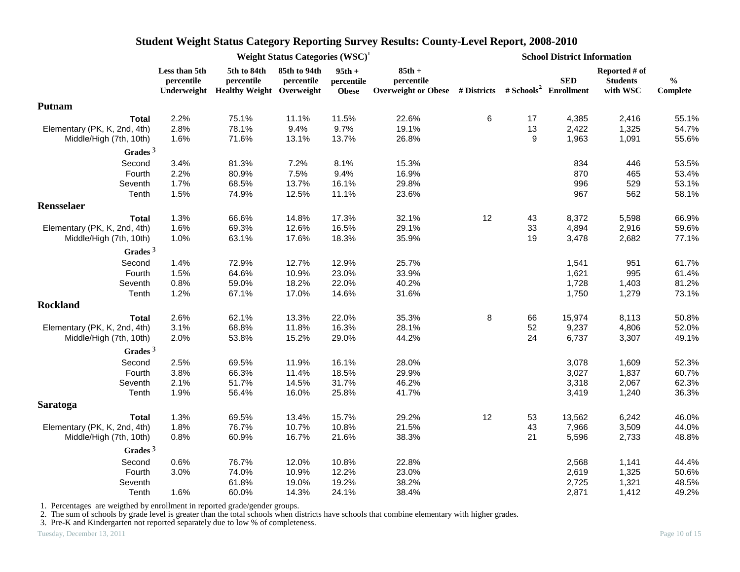|                              |                             | Weight Status Categories $(WSC)^1$<br>5th to 84th<br>85th to 94th<br>$95th +$<br>percentile<br>percentile<br>percentile<br>Underweight Healthy Weight Overweight<br><b>Obese</b><br>2.2%<br>75.1%<br>11.1%<br>11.5%<br>2.8%<br>78.1%<br>9.4%<br>9.7%<br>1.6%<br>71.6%<br>13.1%<br>13.7%<br>3.4%<br>81.3%<br>7.2%<br>8.1%<br>7.5%<br>2.2%<br>80.9%<br>9.4%<br>1.7%<br>68.5%<br>13.7%<br>16.1%<br>1.5%<br>74.9%<br>12.5%<br>11.1%<br>1.3%<br>17.3%<br>66.6%<br>14.8%<br>1.6%<br>69.3%<br>12.6%<br>16.5%<br>1.0%<br>63.1%<br>17.6%<br>18.3%<br>1.4%<br>72.9%<br>12.7%<br>12.9%<br>1.5%<br>64.6%<br>10.9%<br>23.0%<br>0.8%<br>59.0%<br>18.2%<br>22.0%<br>1.2%<br>67.1%<br>17.0%<br>14.6%<br>2.6%<br>62.1%<br>13.3%<br>22.0%<br>68.8%<br>3.1%<br>11.8%<br>16.3%<br>2.0%<br>15.2%<br>29.0%<br>53.8%<br>69.5%<br>16.1%<br>2.5%<br>11.9%<br>3.8%<br>66.3%<br>11.4%<br>18.5%<br>2.1%<br>51.7%<br>14.5%<br>31.7%<br>1.9%<br>16.0%<br>25.8%<br>56.4%<br>1.3%<br>69.5%<br>15.7%<br>13.4%<br>1.8%<br>76.7%<br>10.7%<br>10.8%<br>0.8%<br>60.9%<br>16.7%<br>21.6% |       |       |                                                                                             |    |    | <b>School District Information</b> |                                              |                           |
|------------------------------|-----------------------------|----------------------------------------------------------------------------------------------------------------------------------------------------------------------------------------------------------------------------------------------------------------------------------------------------------------------------------------------------------------------------------------------------------------------------------------------------------------------------------------------------------------------------------------------------------------------------------------------------------------------------------------------------------------------------------------------------------------------------------------------------------------------------------------------------------------------------------------------------------------------------------------------------------------------------------------------------------------------------------------------------------------------------------------------------|-------|-------|---------------------------------------------------------------------------------------------|----|----|------------------------------------|----------------------------------------------|---------------------------|
|                              | Less than 5th<br>percentile |                                                                                                                                                                                                                                                                                                                                                                                                                                                                                                                                                                                                                                                                                                                                                                                                                                                                                                                                                                                                                                                    |       |       | $85th +$<br>percentile<br>Overweight or Obese # Districts # Schools <sup>2</sup> Enrollment |    |    | <b>SED</b>                         | Reported # of<br><b>Students</b><br>with WSC | $\frac{0}{0}$<br>Complete |
| Putnam                       |                             |                                                                                                                                                                                                                                                                                                                                                                                                                                                                                                                                                                                                                                                                                                                                                                                                                                                                                                                                                                                                                                                    |       |       |                                                                                             |    |    |                                    |                                              |                           |
| <b>Total</b>                 |                             |                                                                                                                                                                                                                                                                                                                                                                                                                                                                                                                                                                                                                                                                                                                                                                                                                                                                                                                                                                                                                                                    |       |       | 22.6%                                                                                       | 6  | 17 | 4,385                              | 2,416                                        | 55.1%                     |
| Elementary (PK, K, 2nd, 4th) |                             |                                                                                                                                                                                                                                                                                                                                                                                                                                                                                                                                                                                                                                                                                                                                                                                                                                                                                                                                                                                                                                                    |       |       | 19.1%                                                                                       |    | 13 | 2,422                              | 1,325                                        | 54.7%                     |
| Middle/High (7th, 10th)      |                             |                                                                                                                                                                                                                                                                                                                                                                                                                                                                                                                                                                                                                                                                                                                                                                                                                                                                                                                                                                                                                                                    |       |       | 26.8%                                                                                       |    | 9  | 1,963                              | 1,091                                        | 55.6%                     |
| Grades $3$                   |                             |                                                                                                                                                                                                                                                                                                                                                                                                                                                                                                                                                                                                                                                                                                                                                                                                                                                                                                                                                                                                                                                    |       |       |                                                                                             |    |    |                                    |                                              |                           |
| Second                       |                             |                                                                                                                                                                                                                                                                                                                                                                                                                                                                                                                                                                                                                                                                                                                                                                                                                                                                                                                                                                                                                                                    |       |       | 15.3%                                                                                       |    |    | 834                                | 446                                          | 53.5%                     |
| Fourth                       |                             |                                                                                                                                                                                                                                                                                                                                                                                                                                                                                                                                                                                                                                                                                                                                                                                                                                                                                                                                                                                                                                                    |       |       | 16.9%                                                                                       |    |    | 870                                | 465                                          | 53.4%                     |
| Seventh                      |                             |                                                                                                                                                                                                                                                                                                                                                                                                                                                                                                                                                                                                                                                                                                                                                                                                                                                                                                                                                                                                                                                    |       |       | 29.8%                                                                                       |    |    | 996                                | 529                                          | 53.1%                     |
| Tenth                        |                             |                                                                                                                                                                                                                                                                                                                                                                                                                                                                                                                                                                                                                                                                                                                                                                                                                                                                                                                                                                                                                                                    |       |       | 23.6%                                                                                       |    |    | 967                                | 562                                          | 58.1%                     |
| <b>Rensselaer</b>            |                             |                                                                                                                                                                                                                                                                                                                                                                                                                                                                                                                                                                                                                                                                                                                                                                                                                                                                                                                                                                                                                                                    |       |       |                                                                                             |    |    |                                    |                                              |                           |
| <b>Total</b>                 |                             |                                                                                                                                                                                                                                                                                                                                                                                                                                                                                                                                                                                                                                                                                                                                                                                                                                                                                                                                                                                                                                                    |       |       | 32.1%                                                                                       | 12 | 43 | 8,372                              | 5,598                                        | 66.9%                     |
| Elementary (PK, K, 2nd, 4th) |                             |                                                                                                                                                                                                                                                                                                                                                                                                                                                                                                                                                                                                                                                                                                                                                                                                                                                                                                                                                                                                                                                    |       |       | 29.1%                                                                                       |    | 33 | 4,894                              | 2,916                                        | 59.6%                     |
| Middle/High (7th, 10th)      |                             |                                                                                                                                                                                                                                                                                                                                                                                                                                                                                                                                                                                                                                                                                                                                                                                                                                                                                                                                                                                                                                                    |       |       | 35.9%                                                                                       |    | 19 | 3,478                              | 2,682                                        | 77.1%                     |
| Grades $3$                   |                             |                                                                                                                                                                                                                                                                                                                                                                                                                                                                                                                                                                                                                                                                                                                                                                                                                                                                                                                                                                                                                                                    |       |       |                                                                                             |    |    |                                    |                                              |                           |
| Second                       |                             |                                                                                                                                                                                                                                                                                                                                                                                                                                                                                                                                                                                                                                                                                                                                                                                                                                                                                                                                                                                                                                                    |       |       | 25.7%                                                                                       |    |    | 1,541                              | 951                                          | 61.7%                     |
| Fourth                       |                             |                                                                                                                                                                                                                                                                                                                                                                                                                                                                                                                                                                                                                                                                                                                                                                                                                                                                                                                                                                                                                                                    |       |       | 33.9%                                                                                       |    |    | 1,621                              | 995                                          | 61.4%                     |
| Seventh                      |                             |                                                                                                                                                                                                                                                                                                                                                                                                                                                                                                                                                                                                                                                                                                                                                                                                                                                                                                                                                                                                                                                    |       |       | 40.2%                                                                                       |    |    | 1,728                              | 1,403                                        | 81.2%                     |
| Tenth                        |                             |                                                                                                                                                                                                                                                                                                                                                                                                                                                                                                                                                                                                                                                                                                                                                                                                                                                                                                                                                                                                                                                    |       |       | 31.6%                                                                                       |    |    | 1,750                              | 1,279                                        | 73.1%                     |
| <b>Rockland</b>              |                             |                                                                                                                                                                                                                                                                                                                                                                                                                                                                                                                                                                                                                                                                                                                                                                                                                                                                                                                                                                                                                                                    |       |       |                                                                                             |    |    |                                    |                                              |                           |
| <b>Total</b>                 |                             |                                                                                                                                                                                                                                                                                                                                                                                                                                                                                                                                                                                                                                                                                                                                                                                                                                                                                                                                                                                                                                                    |       |       | 35.3%                                                                                       | 8  | 66 | 15,974                             | 8,113                                        | 50.8%                     |
| Elementary (PK, K, 2nd, 4th) |                             |                                                                                                                                                                                                                                                                                                                                                                                                                                                                                                                                                                                                                                                                                                                                                                                                                                                                                                                                                                                                                                                    |       |       | 28.1%                                                                                       |    | 52 | 9,237                              | 4,806                                        | 52.0%                     |
| Middle/High (7th, 10th)      |                             |                                                                                                                                                                                                                                                                                                                                                                                                                                                                                                                                                                                                                                                                                                                                                                                                                                                                                                                                                                                                                                                    |       |       | 44.2%                                                                                       |    | 24 | 6,737                              | 3,307                                        | 49.1%                     |
| Grades $3$                   |                             |                                                                                                                                                                                                                                                                                                                                                                                                                                                                                                                                                                                                                                                                                                                                                                                                                                                                                                                                                                                                                                                    |       |       |                                                                                             |    |    |                                    |                                              |                           |
| Second                       |                             |                                                                                                                                                                                                                                                                                                                                                                                                                                                                                                                                                                                                                                                                                                                                                                                                                                                                                                                                                                                                                                                    |       |       | 28.0%                                                                                       |    |    | 3,078                              | 1,609                                        | 52.3%                     |
| Fourth                       |                             |                                                                                                                                                                                                                                                                                                                                                                                                                                                                                                                                                                                                                                                                                                                                                                                                                                                                                                                                                                                                                                                    |       |       | 29.9%                                                                                       |    |    | 3,027                              | 1,837                                        | 60.7%                     |
| Seventh                      |                             |                                                                                                                                                                                                                                                                                                                                                                                                                                                                                                                                                                                                                                                                                                                                                                                                                                                                                                                                                                                                                                                    |       |       | 46.2%                                                                                       |    |    | 3,318                              | 2,067                                        | 62.3%                     |
| Tenth                        |                             |                                                                                                                                                                                                                                                                                                                                                                                                                                                                                                                                                                                                                                                                                                                                                                                                                                                                                                                                                                                                                                                    |       |       | 41.7%                                                                                       |    |    | 3,419                              | 1,240                                        | 36.3%                     |
| Saratoga                     |                             |                                                                                                                                                                                                                                                                                                                                                                                                                                                                                                                                                                                                                                                                                                                                                                                                                                                                                                                                                                                                                                                    |       |       |                                                                                             |    |    |                                    |                                              |                           |
| Total                        |                             |                                                                                                                                                                                                                                                                                                                                                                                                                                                                                                                                                                                                                                                                                                                                                                                                                                                                                                                                                                                                                                                    |       |       | 29.2%                                                                                       | 12 | 53 | 13,562                             | 6,242                                        | 46.0%                     |
| Elementary (PK, K, 2nd, 4th) |                             |                                                                                                                                                                                                                                                                                                                                                                                                                                                                                                                                                                                                                                                                                                                                                                                                                                                                                                                                                                                                                                                    |       |       | 21.5%                                                                                       |    | 43 | 7,966                              | 3,509                                        | 44.0%                     |
| Middle/High (7th, 10th)      |                             |                                                                                                                                                                                                                                                                                                                                                                                                                                                                                                                                                                                                                                                                                                                                                                                                                                                                                                                                                                                                                                                    |       |       | 38.3%                                                                                       |    | 21 | 5,596                              | 2,733                                        | 48.8%                     |
| Grades $3$                   |                             |                                                                                                                                                                                                                                                                                                                                                                                                                                                                                                                                                                                                                                                                                                                                                                                                                                                                                                                                                                                                                                                    |       |       |                                                                                             |    |    |                                    |                                              |                           |
| Second                       | 0.6%                        | 76.7%                                                                                                                                                                                                                                                                                                                                                                                                                                                                                                                                                                                                                                                                                                                                                                                                                                                                                                                                                                                                                                              | 12.0% | 10.8% | 22.8%                                                                                       |    |    | 2,568                              | 1,141                                        | 44.4%                     |
| Fourth                       | 3.0%                        | 74.0%                                                                                                                                                                                                                                                                                                                                                                                                                                                                                                                                                                                                                                                                                                                                                                                                                                                                                                                                                                                                                                              | 10.9% | 12.2% | 23.0%                                                                                       |    |    | 2,619                              | 1,325                                        | 50.6%                     |
| Seventh                      |                             | 61.8%                                                                                                                                                                                                                                                                                                                                                                                                                                                                                                                                                                                                                                                                                                                                                                                                                                                                                                                                                                                                                                              | 19.0% | 19.2% | 38.2%                                                                                       |    |    | 2,725                              | 1,321                                        | 48.5%                     |
| Tenth                        | 1.6%                        | 60.0%                                                                                                                                                                                                                                                                                                                                                                                                                                                                                                                                                                                                                                                                                                                                                                                                                                                                                                                                                                                                                                              | 14.3% | 24.1% | 38.4%                                                                                       |    |    | 2,871                              | 1,412                                        | 49.2%                     |

1. Percentages are weigthed by enrollment in reported grade/gender groups.

2. The sum of schools by grade level is greater than the total schools when districts have schools that combine elementary with higher grades.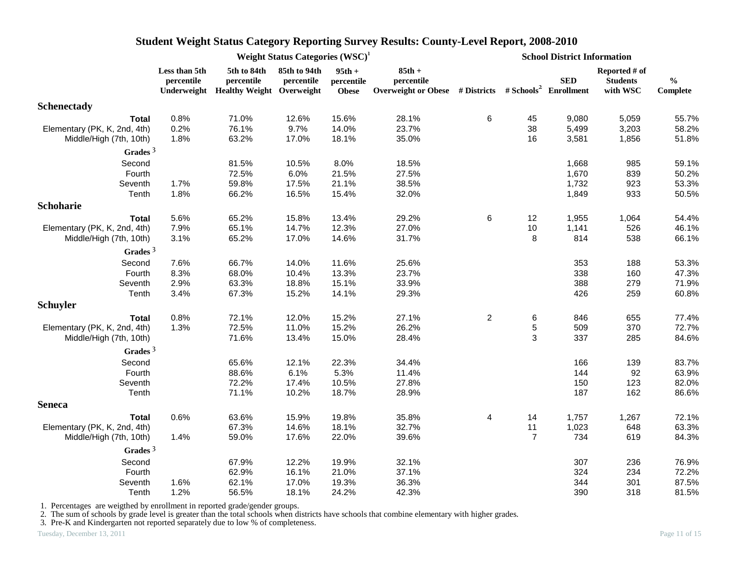|                              |                             | Weight Status Categories $(WSC)^1$<br>5th to 84th<br>85th to 94th<br>$95th +$<br>percentile<br>percentile<br>percentile<br>Underweight Healthy Weight Overweight<br><b>Obese</b><br>0.8%<br>71.0%<br>12.6%<br>15.6%<br>0.2%<br>76.1%<br>9.7%<br>14.0%<br>1.8%<br>63.2%<br>17.0%<br>18.1%<br>81.5%<br>8.0%<br>10.5%<br>72.5%<br>6.0%<br>21.5%<br>59.8%<br>1.7%<br>17.5%<br>21.1%<br>1.8%<br>66.2%<br>16.5%<br>15.4%<br>5.6%<br>65.2%<br>15.8%<br>13.4%<br>65.1%<br>14.7%<br>12.3%<br>7.9%<br>65.2%<br>3.1%<br>17.0%<br>14.6%<br>7.6%<br>66.7%<br>14.0%<br>11.6%<br>8.3%<br>68.0%<br>13.3%<br>10.4%<br>2.9%<br>63.3%<br>18.8%<br>15.1%<br>3.4%<br>67.3%<br>15.2%<br>14.1%<br>72.1%<br>15.2%<br>0.8%<br>12.0%<br>72.5%<br>15.2%<br>1.3%<br>11.0%<br>71.6%<br>13.4%<br>15.0%<br>22.3%<br>65.6%<br>12.1%<br>88.6%<br>6.1%<br>5.3%<br>72.2%<br>17.4%<br>10.5%<br>71.1%<br>10.2%<br>18.7%<br>19.8%<br>0.6%<br>63.6%<br>15.9%<br>67.3%<br>14.6%<br>18.1%<br>59.0%<br>22.0%<br>1.4%<br>17.6% |       |       |                                                                                             |                |                | <b>School District Information</b> |                                              |                           |
|------------------------------|-----------------------------|-------------------------------------------------------------------------------------------------------------------------------------------------------------------------------------------------------------------------------------------------------------------------------------------------------------------------------------------------------------------------------------------------------------------------------------------------------------------------------------------------------------------------------------------------------------------------------------------------------------------------------------------------------------------------------------------------------------------------------------------------------------------------------------------------------------------------------------------------------------------------------------------------------------------------------------------------------------------------------------|-------|-------|---------------------------------------------------------------------------------------------|----------------|----------------|------------------------------------|----------------------------------------------|---------------------------|
|                              | Less than 5th<br>percentile |                                                                                                                                                                                                                                                                                                                                                                                                                                                                                                                                                                                                                                                                                                                                                                                                                                                                                                                                                                                     |       |       | $85th +$<br>percentile<br>Overweight or Obese # Districts # Schools <sup>2</sup> Enrollment |                |                | <b>SED</b>                         | Reported # of<br><b>Students</b><br>with WSC | $\frac{0}{0}$<br>Complete |
| Schenectady                  |                             |                                                                                                                                                                                                                                                                                                                                                                                                                                                                                                                                                                                                                                                                                                                                                                                                                                                                                                                                                                                     |       |       |                                                                                             |                |                |                                    |                                              |                           |
| <b>Total</b>                 |                             |                                                                                                                                                                                                                                                                                                                                                                                                                                                                                                                                                                                                                                                                                                                                                                                                                                                                                                                                                                                     |       |       | 28.1%                                                                                       | 6              | 45             | 9,080                              | 5,059                                        | 55.7%                     |
| Elementary (PK, K, 2nd, 4th) |                             |                                                                                                                                                                                                                                                                                                                                                                                                                                                                                                                                                                                                                                                                                                                                                                                                                                                                                                                                                                                     |       |       | 23.7%                                                                                       |                | 38             | 5,499                              | 3,203                                        | 58.2%                     |
| Middle/High (7th, 10th)      |                             |                                                                                                                                                                                                                                                                                                                                                                                                                                                                                                                                                                                                                                                                                                                                                                                                                                                                                                                                                                                     |       |       | 35.0%                                                                                       |                | 16             | 3,581                              | 1,856                                        | 51.8%                     |
| Grades $3$                   |                             |                                                                                                                                                                                                                                                                                                                                                                                                                                                                                                                                                                                                                                                                                                                                                                                                                                                                                                                                                                                     |       |       |                                                                                             |                |                |                                    |                                              |                           |
| Second                       |                             |                                                                                                                                                                                                                                                                                                                                                                                                                                                                                                                                                                                                                                                                                                                                                                                                                                                                                                                                                                                     |       |       | 18.5%                                                                                       |                |                | 1,668                              | 985                                          | 59.1%                     |
| Fourth                       |                             |                                                                                                                                                                                                                                                                                                                                                                                                                                                                                                                                                                                                                                                                                                                                                                                                                                                                                                                                                                                     |       |       | 27.5%                                                                                       |                |                | 1,670                              | 839                                          | 50.2%                     |
| Seventh                      |                             |                                                                                                                                                                                                                                                                                                                                                                                                                                                                                                                                                                                                                                                                                                                                                                                                                                                                                                                                                                                     |       |       | 38.5%                                                                                       |                |                | 1,732                              | 923                                          | 53.3%                     |
| Tenth                        |                             |                                                                                                                                                                                                                                                                                                                                                                                                                                                                                                                                                                                                                                                                                                                                                                                                                                                                                                                                                                                     |       |       | 32.0%                                                                                       |                |                | 1,849                              | 933                                          | 50.5%                     |
| Schoharie                    |                             |                                                                                                                                                                                                                                                                                                                                                                                                                                                                                                                                                                                                                                                                                                                                                                                                                                                                                                                                                                                     |       |       |                                                                                             |                |                |                                    |                                              |                           |
| <b>Total</b>                 |                             |                                                                                                                                                                                                                                                                                                                                                                                                                                                                                                                                                                                                                                                                                                                                                                                                                                                                                                                                                                                     |       |       | 29.2%                                                                                       | 6              | 12             | 1,955                              | 1,064                                        | 54.4%                     |
| Elementary (PK, K, 2nd, 4th) |                             |                                                                                                                                                                                                                                                                                                                                                                                                                                                                                                                                                                                                                                                                                                                                                                                                                                                                                                                                                                                     |       |       | 27.0%                                                                                       |                | 10             | 1,141                              | 526                                          | 46.1%                     |
| Middle/High (7th, 10th)      |                             |                                                                                                                                                                                                                                                                                                                                                                                                                                                                                                                                                                                                                                                                                                                                                                                                                                                                                                                                                                                     |       |       | 31.7%                                                                                       |                | 8              | 814                                | 538                                          | 66.1%                     |
| Grades $3$                   |                             |                                                                                                                                                                                                                                                                                                                                                                                                                                                                                                                                                                                                                                                                                                                                                                                                                                                                                                                                                                                     |       |       |                                                                                             |                |                |                                    |                                              |                           |
| Second                       |                             |                                                                                                                                                                                                                                                                                                                                                                                                                                                                                                                                                                                                                                                                                                                                                                                                                                                                                                                                                                                     |       |       | 25.6%                                                                                       |                |                | 353                                | 188                                          | 53.3%                     |
| Fourth                       |                             |                                                                                                                                                                                                                                                                                                                                                                                                                                                                                                                                                                                                                                                                                                                                                                                                                                                                                                                                                                                     |       |       | 23.7%                                                                                       |                |                | 338                                | 160                                          | 47.3%                     |
| Seventh                      |                             |                                                                                                                                                                                                                                                                                                                                                                                                                                                                                                                                                                                                                                                                                                                                                                                                                                                                                                                                                                                     |       |       | 33.9%                                                                                       |                |                | 388                                | 279                                          | 71.9%                     |
| Tenth                        |                             |                                                                                                                                                                                                                                                                                                                                                                                                                                                                                                                                                                                                                                                                                                                                                                                                                                                                                                                                                                                     |       |       | 29.3%                                                                                       |                |                | 426                                | 259                                          | 60.8%                     |
| Schuyler                     |                             |                                                                                                                                                                                                                                                                                                                                                                                                                                                                                                                                                                                                                                                                                                                                                                                                                                                                                                                                                                                     |       |       |                                                                                             |                |                |                                    |                                              |                           |
| <b>Total</b>                 |                             |                                                                                                                                                                                                                                                                                                                                                                                                                                                                                                                                                                                                                                                                                                                                                                                                                                                                                                                                                                                     |       |       | 27.1%                                                                                       | $\overline{2}$ | 6              | 846                                | 655                                          | 77.4%                     |
| Elementary (PK, K, 2nd, 4th) |                             |                                                                                                                                                                                                                                                                                                                                                                                                                                                                                                                                                                                                                                                                                                                                                                                                                                                                                                                                                                                     |       |       | 26.2%                                                                                       |                | $\mathbf 5$    | 509                                | 370                                          | 72.7%                     |
| Middle/High (7th, 10th)      |                             |                                                                                                                                                                                                                                                                                                                                                                                                                                                                                                                                                                                                                                                                                                                                                                                                                                                                                                                                                                                     |       |       | 28.4%                                                                                       |                | 3              | 337                                | 285                                          | 84.6%                     |
| Grades $3$                   |                             |                                                                                                                                                                                                                                                                                                                                                                                                                                                                                                                                                                                                                                                                                                                                                                                                                                                                                                                                                                                     |       |       |                                                                                             |                |                |                                    |                                              |                           |
| Second                       |                             |                                                                                                                                                                                                                                                                                                                                                                                                                                                                                                                                                                                                                                                                                                                                                                                                                                                                                                                                                                                     |       |       | 34.4%                                                                                       |                |                | 166                                | 139                                          | 83.7%                     |
| Fourth                       |                             |                                                                                                                                                                                                                                                                                                                                                                                                                                                                                                                                                                                                                                                                                                                                                                                                                                                                                                                                                                                     |       |       | 11.4%                                                                                       |                |                | 144                                | 92                                           | 63.9%                     |
| Seventh                      |                             |                                                                                                                                                                                                                                                                                                                                                                                                                                                                                                                                                                                                                                                                                                                                                                                                                                                                                                                                                                                     |       |       | 27.8%                                                                                       |                |                | 150                                | 123                                          | 82.0%                     |
| Tenth                        |                             |                                                                                                                                                                                                                                                                                                                                                                                                                                                                                                                                                                                                                                                                                                                                                                                                                                                                                                                                                                                     |       |       | 28.9%                                                                                       |                |                | 187                                | 162                                          | 86.6%                     |
| <b>Seneca</b>                |                             |                                                                                                                                                                                                                                                                                                                                                                                                                                                                                                                                                                                                                                                                                                                                                                                                                                                                                                                                                                                     |       |       |                                                                                             |                |                |                                    |                                              |                           |
| <b>Total</b>                 |                             |                                                                                                                                                                                                                                                                                                                                                                                                                                                                                                                                                                                                                                                                                                                                                                                                                                                                                                                                                                                     |       |       | 35.8%                                                                                       | 4              | 14             | 1,757                              | 1,267                                        | 72.1%                     |
| Elementary (PK, K, 2nd, 4th) |                             |                                                                                                                                                                                                                                                                                                                                                                                                                                                                                                                                                                                                                                                                                                                                                                                                                                                                                                                                                                                     |       |       | 32.7%                                                                                       |                | 11             | 1,023                              | 648                                          | 63.3%                     |
| Middle/High (7th, 10th)      |                             |                                                                                                                                                                                                                                                                                                                                                                                                                                                                                                                                                                                                                                                                                                                                                                                                                                                                                                                                                                                     |       |       | 39.6%                                                                                       |                | $\overline{7}$ | 734                                | 619                                          | 84.3%                     |
| Grades $3$                   |                             |                                                                                                                                                                                                                                                                                                                                                                                                                                                                                                                                                                                                                                                                                                                                                                                                                                                                                                                                                                                     |       |       |                                                                                             |                |                |                                    |                                              |                           |
| Second                       |                             | 67.9%                                                                                                                                                                                                                                                                                                                                                                                                                                                                                                                                                                                                                                                                                                                                                                                                                                                                                                                                                                               | 12.2% | 19.9% | 32.1%                                                                                       |                |                | 307                                | 236                                          | 76.9%                     |
| Fourth                       |                             | 62.9%                                                                                                                                                                                                                                                                                                                                                                                                                                                                                                                                                                                                                                                                                                                                                                                                                                                                                                                                                                               | 16.1% | 21.0% | 37.1%                                                                                       |                |                | 324                                | 234                                          | 72.2%                     |
| Seventh                      | 1.6%                        | 62.1%                                                                                                                                                                                                                                                                                                                                                                                                                                                                                                                                                                                                                                                                                                                                                                                                                                                                                                                                                                               | 17.0% | 19.3% | 36.3%                                                                                       |                |                | 344                                | 301                                          | 87.5%                     |
| Tenth                        | 1.2%                        | 56.5%                                                                                                                                                                                                                                                                                                                                                                                                                                                                                                                                                                                                                                                                                                                                                                                                                                                                                                                                                                               | 18.1% | 24.2% | 42.3%                                                                                       |                |                | 390                                | 318                                          | 81.5%                     |

1. Percentages are weigthed by enrollment in reported grade/gender groups.

2. The sum of schools by grade level is greater than the total schools when districts have schools that combine elementary with higher grades.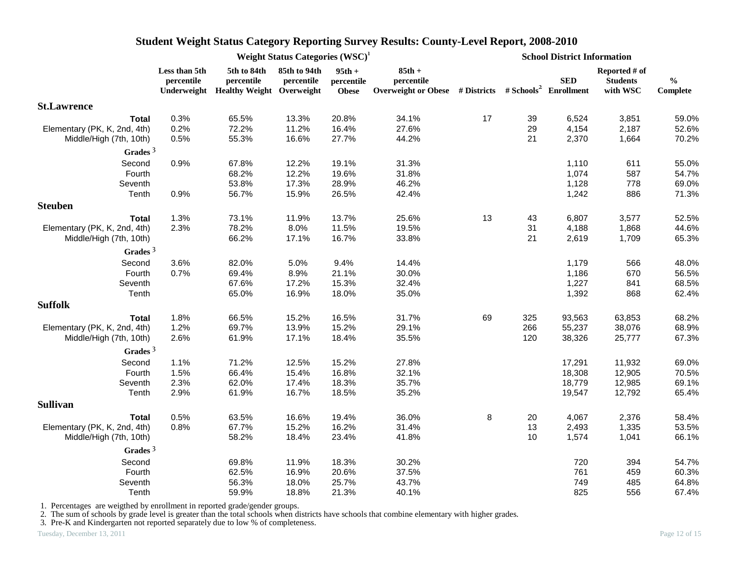|                              |                             |                                                                    | Weight Status Categories $(WSC)^1$ |                                        |                        | <b>School District Information</b><br><b>SED</b><br><b>Students</b><br>Overweight or Obese # Districts # Schools <sup>2</sup> Enrollment<br>17<br>39<br>6,524<br>29<br>4,154<br>21<br>2,370<br>1,664<br>1,110<br>1,074<br>1,128<br>1,242<br>13<br>43<br>6,807<br>31<br>4,188<br>21<br>2,619<br>1,179<br>1,186<br>1,227<br>1,392<br>69<br>325<br>93,563<br>266<br>55,237<br>120<br>38,326<br>17,291<br>11,932<br>18,308<br>18,779<br>19,547<br>8<br>20<br>4,067<br>13<br>2,493<br>10<br>1,574<br>720<br>761 |  |     |                           |                           |
|------------------------------|-----------------------------|--------------------------------------------------------------------|------------------------------------|----------------------------------------|------------------------|------------------------------------------------------------------------------------------------------------------------------------------------------------------------------------------------------------------------------------------------------------------------------------------------------------------------------------------------------------------------------------------------------------------------------------------------------------------------------------------------------------|--|-----|---------------------------|---------------------------|
|                              | Less than 5th<br>percentile | 5th to 84th<br>percentile<br>Underweight Healthy Weight Overweight | 85th to 94th<br>percentile         | $95th +$<br>percentile<br><b>Obese</b> | $85th +$<br>percentile |                                                                                                                                                                                                                                                                                                                                                                                                                                                                                                            |  |     | Reported # of<br>with WSC | $\frac{0}{0}$<br>Complete |
| <b>St.Lawrence</b>           |                             |                                                                    |                                    |                                        |                        |                                                                                                                                                                                                                                                                                                                                                                                                                                                                                                            |  |     |                           |                           |
| <b>Total</b>                 | 0.3%                        | 65.5%                                                              | 13.3%                              | 20.8%                                  | 34.1%                  |                                                                                                                                                                                                                                                                                                                                                                                                                                                                                                            |  |     | 3,851                     | 59.0%                     |
| Elementary (PK, K, 2nd, 4th) | 0.2%                        | 72.2%                                                              | 11.2%                              | 16.4%                                  | 27.6%                  |                                                                                                                                                                                                                                                                                                                                                                                                                                                                                                            |  |     | 2,187                     | 52.6%                     |
| Middle/High (7th, 10th)      | 0.5%                        | 55.3%                                                              | 16.6%                              | 27.7%                                  | 44.2%                  |                                                                                                                                                                                                                                                                                                                                                                                                                                                                                                            |  |     |                           | 70.2%                     |
| Grades $3$                   |                             |                                                                    |                                    |                                        |                        |                                                                                                                                                                                                                                                                                                                                                                                                                                                                                                            |  |     |                           |                           |
| Second                       | 0.9%                        | 67.8%                                                              | 12.2%                              | 19.1%                                  | 31.3%                  |                                                                                                                                                                                                                                                                                                                                                                                                                                                                                                            |  |     | 611                       | 55.0%                     |
| Fourth                       |                             | 68.2%                                                              | 12.2%                              | 19.6%                                  | 31.8%                  |                                                                                                                                                                                                                                                                                                                                                                                                                                                                                                            |  |     | 587                       | 54.7%                     |
| Seventh                      |                             | 53.8%                                                              | 17.3%                              | 28.9%                                  | 46.2%                  |                                                                                                                                                                                                                                                                                                                                                                                                                                                                                                            |  |     | 778                       | 69.0%                     |
| Tenth                        | 0.9%                        | 56.7%                                                              | 15.9%                              | 26.5%                                  | 42.4%                  |                                                                                                                                                                                                                                                                                                                                                                                                                                                                                                            |  |     | 886                       | 71.3%                     |
| <b>Steuben</b>               |                             |                                                                    |                                    |                                        |                        |                                                                                                                                                                                                                                                                                                                                                                                                                                                                                                            |  |     |                           |                           |
| <b>Total</b>                 | 1.3%                        | 73.1%                                                              | 11.9%                              | 13.7%                                  | 25.6%                  |                                                                                                                                                                                                                                                                                                                                                                                                                                                                                                            |  |     | 3,577                     | 52.5%                     |
| Elementary (PK, K, 2nd, 4th) | 2.3%                        | 78.2%                                                              | 8.0%                               | 11.5%                                  | 19.5%                  |                                                                                                                                                                                                                                                                                                                                                                                                                                                                                                            |  |     | 1,868                     | 44.6%                     |
| Middle/High (7th, 10th)      |                             | 66.2%                                                              | 17.1%                              | 16.7%                                  | 33.8%                  |                                                                                                                                                                                                                                                                                                                                                                                                                                                                                                            |  |     | 1,709                     | 65.3%                     |
| Grades $3$                   |                             |                                                                    |                                    |                                        |                        |                                                                                                                                                                                                                                                                                                                                                                                                                                                                                                            |  |     |                           |                           |
| Second                       | 3.6%                        | 82.0%                                                              | 5.0%                               | 9.4%                                   | 14.4%                  |                                                                                                                                                                                                                                                                                                                                                                                                                                                                                                            |  |     | 566                       | 48.0%                     |
| Fourth                       | 0.7%                        | 69.4%                                                              | 8.9%                               | 21.1%                                  | 30.0%                  |                                                                                                                                                                                                                                                                                                                                                                                                                                                                                                            |  |     | 670                       | 56.5%                     |
| Seventh                      |                             | 67.6%                                                              | 17.2%                              | 15.3%                                  | 32.4%                  |                                                                                                                                                                                                                                                                                                                                                                                                                                                                                                            |  |     | 841                       | 68.5%                     |
| Tenth                        |                             | 65.0%                                                              | 16.9%                              | 18.0%                                  | 35.0%                  |                                                                                                                                                                                                                                                                                                                                                                                                                                                                                                            |  |     | 868                       | 62.4%                     |
| <b>Suffolk</b>               |                             |                                                                    |                                    |                                        |                        |                                                                                                                                                                                                                                                                                                                                                                                                                                                                                                            |  |     |                           |                           |
| <b>Total</b>                 | 1.8%                        | 66.5%                                                              | 15.2%                              | 16.5%                                  | 31.7%                  |                                                                                                                                                                                                                                                                                                                                                                                                                                                                                                            |  |     | 63,853                    | 68.2%                     |
| Elementary (PK, K, 2nd, 4th) | 1.2%                        | 69.7%                                                              | 13.9%                              | 15.2%                                  | 29.1%                  |                                                                                                                                                                                                                                                                                                                                                                                                                                                                                                            |  |     | 38,076                    | 68.9%                     |
| Middle/High (7th, 10th)      | 2.6%                        | 61.9%                                                              | 17.1%                              | 18.4%                                  | 35.5%                  |                                                                                                                                                                                                                                                                                                                                                                                                                                                                                                            |  |     | 25,777                    | 67.3%                     |
| Grades $3$                   |                             |                                                                    |                                    |                                        |                        |                                                                                                                                                                                                                                                                                                                                                                                                                                                                                                            |  |     |                           |                           |
| Second                       | 1.1%                        | 71.2%                                                              | 12.5%                              | 15.2%                                  | 27.8%                  |                                                                                                                                                                                                                                                                                                                                                                                                                                                                                                            |  |     |                           | 69.0%                     |
| Fourth                       | 1.5%                        | 66.4%                                                              | 15.4%                              | 16.8%                                  | 32.1%                  |                                                                                                                                                                                                                                                                                                                                                                                                                                                                                                            |  |     | 12,905                    | 70.5%                     |
| Seventh                      | 2.3%                        | 62.0%                                                              | 17.4%                              | 18.3%                                  | 35.7%                  |                                                                                                                                                                                                                                                                                                                                                                                                                                                                                                            |  |     | 12,985                    | 69.1%                     |
| Tenth                        | 2.9%                        | 61.9%                                                              | 16.7%                              | 18.5%                                  | 35.2%                  |                                                                                                                                                                                                                                                                                                                                                                                                                                                                                                            |  |     | 12,792                    | 65.4%                     |
| <b>Sullivan</b>              |                             |                                                                    |                                    |                                        |                        |                                                                                                                                                                                                                                                                                                                                                                                                                                                                                                            |  |     |                           |                           |
| <b>Total</b>                 | 0.5%                        | 63.5%                                                              | 16.6%                              | 19.4%                                  | 36.0%                  |                                                                                                                                                                                                                                                                                                                                                                                                                                                                                                            |  |     | 2,376                     | 58.4%                     |
| Elementary (PK, K, 2nd, 4th) | 0.8%                        | 67.7%                                                              | 15.2%                              | 16.2%                                  | 31.4%                  |                                                                                                                                                                                                                                                                                                                                                                                                                                                                                                            |  |     | 1,335                     | 53.5%                     |
| Middle/High (7th, 10th)      |                             | 58.2%                                                              | 18.4%                              | 23.4%                                  | 41.8%                  |                                                                                                                                                                                                                                                                                                                                                                                                                                                                                                            |  |     | 1,041                     | 66.1%                     |
| Grades $3$                   |                             |                                                                    |                                    |                                        |                        |                                                                                                                                                                                                                                                                                                                                                                                                                                                                                                            |  |     |                           |                           |
| Second                       |                             | 69.8%                                                              | 11.9%                              | 18.3%                                  | 30.2%                  |                                                                                                                                                                                                                                                                                                                                                                                                                                                                                                            |  |     | 394                       | 54.7%                     |
| Fourth                       |                             | 62.5%                                                              | 16.9%                              | 20.6%                                  | 37.5%                  |                                                                                                                                                                                                                                                                                                                                                                                                                                                                                                            |  |     | 459                       | 60.3%                     |
| Seventh                      |                             | 56.3%                                                              | 18.0%                              | 25.7%                                  | 43.7%                  |                                                                                                                                                                                                                                                                                                                                                                                                                                                                                                            |  | 749 | 485                       | 64.8%                     |
| Tenth                        |                             | 59.9%                                                              | 18.8%                              | 21.3%                                  | 40.1%                  |                                                                                                                                                                                                                                                                                                                                                                                                                                                                                                            |  | 825 | 556                       | 67.4%                     |

1. Percentages are weigthed by enrollment in reported grade/gender groups.

2. The sum of schools by grade level is greater than the total schools when districts have schools that combine elementary with higher grades.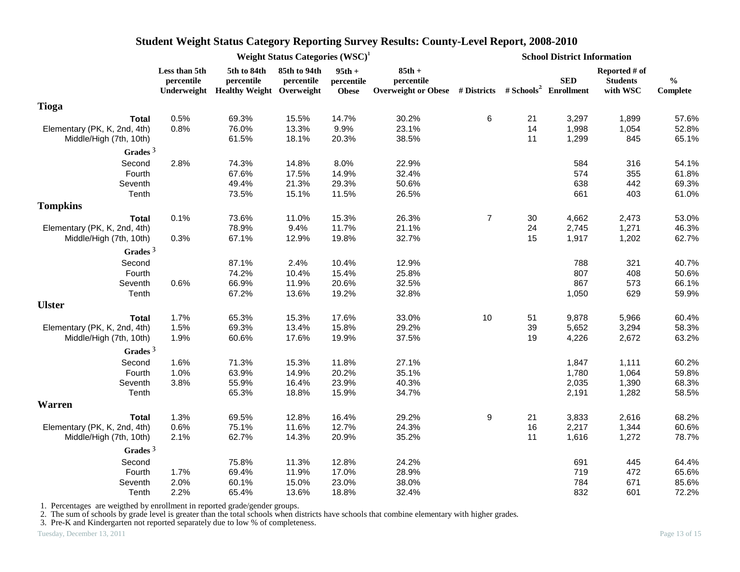|                              | Weight Status Categories (WSC) <sup>1</sup> |                                                                    |                            |                                        |                                                                                             |                | <b>School District Information</b> |            |                                              |                           |  |
|------------------------------|---------------------------------------------|--------------------------------------------------------------------|----------------------------|----------------------------------------|---------------------------------------------------------------------------------------------|----------------|------------------------------------|------------|----------------------------------------------|---------------------------|--|
|                              | Less than 5th<br>percentile                 | 5th to 84th<br>percentile<br>Underweight Healthy Weight Overweight | 85th to 94th<br>percentile | $95th +$<br>percentile<br><b>Obese</b> | $85th +$<br>percentile<br>Overweight or Obese # Districts # Schools <sup>2</sup> Enrollment |                |                                    | <b>SED</b> | Reported # of<br><b>Students</b><br>with WSC | $\frac{0}{0}$<br>Complete |  |
| <b>Tioga</b>                 |                                             |                                                                    |                            |                                        |                                                                                             |                |                                    |            |                                              |                           |  |
| <b>Total</b>                 | 0.5%                                        | 69.3%                                                              | 15.5%                      | 14.7%                                  | 30.2%                                                                                       | $\,6\,$        | 21                                 | 3,297      | 1,899                                        | 57.6%                     |  |
| Elementary (PK, K, 2nd, 4th) | 0.8%                                        | 76.0%                                                              | 13.3%                      | 9.9%                                   | 23.1%                                                                                       |                | 14<br>11                           | 1,998      | 1,054                                        | 52.8%                     |  |
| Middle/High (7th, 10th)      |                                             | 61.5%                                                              | 18.1%                      | 20.3%                                  | 38.5%                                                                                       |                |                                    | 1,299      | 845                                          | 65.1%                     |  |
| Grades <sup>3</sup>          |                                             |                                                                    |                            | 8.0%                                   | 22.9%                                                                                       |                |                                    | 584        | 316                                          |                           |  |
| Second<br>Fourth             | 2.8%                                        | 74.3%<br>67.6%                                                     | 14.8%<br>17.5%             | 14.9%                                  | 32.4%                                                                                       |                |                                    | 574        | 355                                          | 54.1%<br>61.8%            |  |
| Seventh                      |                                             | 49.4%                                                              | 21.3%                      | 29.3%                                  | 50.6%                                                                                       |                |                                    | 638        | 442                                          | 69.3%                     |  |
| Tenth                        |                                             | 73.5%                                                              | 15.1%                      | 11.5%                                  | 26.5%                                                                                       |                |                                    | 661        | 403                                          | 61.0%                     |  |
| <b>Tompkins</b>              |                                             |                                                                    |                            |                                        |                                                                                             |                |                                    |            |                                              |                           |  |
| <b>Total</b>                 | 0.1%                                        | 73.6%                                                              | 11.0%                      | 15.3%                                  | 26.3%                                                                                       | $\overline{7}$ | 30                                 | 4,662      | 2,473                                        | 53.0%                     |  |
| Elementary (PK, K, 2nd, 4th) |                                             | 78.9%                                                              | 9.4%                       | 11.7%                                  | 21.1%                                                                                       |                | 24                                 | 2,745      | 1,271                                        | 46.3%                     |  |
| Middle/High (7th, 10th)      | 0.3%                                        | 67.1%                                                              | 12.9%                      | 19.8%                                  | 32.7%                                                                                       |                | 15                                 | 1,917      | 1,202                                        | 62.7%                     |  |
| Grades $3$                   |                                             |                                                                    |                            |                                        |                                                                                             |                |                                    |            |                                              |                           |  |
| Second                       |                                             | 87.1%                                                              | 2.4%                       | 10.4%                                  | 12.9%                                                                                       |                |                                    | 788        | 321                                          | 40.7%                     |  |
| Fourth                       |                                             | 74.2%                                                              | 10.4%                      | 15.4%                                  | 25.8%                                                                                       |                |                                    | 807        | 408                                          | 50.6%                     |  |
| Seventh                      | 0.6%                                        | 66.9%                                                              | 11.9%                      | 20.6%                                  | 32.5%                                                                                       |                |                                    | 867        | 573                                          | 66.1%                     |  |
| Tenth                        |                                             | 67.2%                                                              | 13.6%                      | 19.2%                                  | 32.8%                                                                                       |                |                                    | 1,050      | 629                                          | 59.9%                     |  |
| <b>Ulster</b>                |                                             |                                                                    |                            |                                        |                                                                                             |                |                                    |            |                                              |                           |  |
| <b>Total</b>                 | 1.7%                                        | 65.3%                                                              | 15.3%                      | 17.6%                                  | 33.0%                                                                                       | 10             | 51                                 | 9,878      | 5,966                                        | 60.4%                     |  |
| Elementary (PK, K, 2nd, 4th) | 1.5%                                        | 69.3%                                                              | 13.4%                      | 15.8%                                  | 29.2%                                                                                       |                | 39                                 | 5,652      | 3,294                                        | 58.3%                     |  |
| Middle/High (7th, 10th)      | 1.9%                                        | 60.6%                                                              | 17.6%                      | 19.9%                                  | 37.5%                                                                                       |                | 19                                 | 4,226      | 2,672                                        | 63.2%                     |  |
| Grades $3$                   |                                             |                                                                    |                            |                                        |                                                                                             |                |                                    |            |                                              |                           |  |
| Second                       | 1.6%                                        | 71.3%                                                              | 15.3%                      | 11.8%                                  | 27.1%                                                                                       |                |                                    | 1,847      | 1,111                                        | 60.2%                     |  |
| Fourth                       | 1.0%                                        | 63.9%                                                              | 14.9%                      | 20.2%                                  | 35.1%                                                                                       |                |                                    | 1,780      | 1,064                                        | 59.8%                     |  |
| Seventh                      | 3.8%                                        | 55.9%                                                              | 16.4%                      | 23.9%                                  | 40.3%                                                                                       |                |                                    | 2,035      | 1,390                                        | 68.3%                     |  |
| Tenth                        |                                             | 65.3%                                                              | 18.8%                      | 15.9%                                  | 34.7%                                                                                       |                |                                    | 2,191      | 1,282                                        | 58.5%                     |  |
| <b>Warren</b>                |                                             |                                                                    |                            |                                        |                                                                                             |                |                                    |            |                                              |                           |  |
| Total                        | 1.3%                                        | 69.5%                                                              | 12.8%                      | 16.4%                                  | 29.2%                                                                                       | 9              | 21                                 | 3,833      | 2,616                                        | 68.2%                     |  |
| Elementary (PK, K, 2nd, 4th) | 0.6%                                        | 75.1%                                                              | 11.6%                      | 12.7%                                  | 24.3%                                                                                       |                | 16                                 | 2,217      | 1,344                                        | 60.6%                     |  |
| Middle/High (7th, 10th)      | 2.1%                                        | 62.7%                                                              | 14.3%                      | 20.9%                                  | 35.2%                                                                                       |                | 11                                 | 1,616      | 1,272                                        | 78.7%                     |  |
| Grades $3$                   |                                             |                                                                    |                            |                                        |                                                                                             |                |                                    |            |                                              |                           |  |
| Second                       |                                             | 75.8%                                                              | 11.3%                      | 12.8%                                  | 24.2%                                                                                       |                |                                    | 691        | 445                                          | 64.4%                     |  |
| Fourth                       | 1.7%                                        | 69.4%                                                              | 11.9%                      | 17.0%                                  | 28.9%                                                                                       |                |                                    | 719        | 472                                          | 65.6%                     |  |
| Seventh                      | 2.0%                                        | 60.1%                                                              | 15.0%                      | 23.0%                                  | 38.0%                                                                                       |                |                                    | 784        | 671                                          | 85.6%                     |  |
| Tenth                        | 2.2%                                        | 65.4%                                                              | 13.6%                      | 18.8%                                  | 32.4%                                                                                       |                |                                    | 832        | 601                                          | 72.2%                     |  |

1. Percentages are weigthed by enrollment in reported grade/gender groups.

2. The sum of schools by grade level is greater than the total schools when districts have schools that combine elementary with higher grades.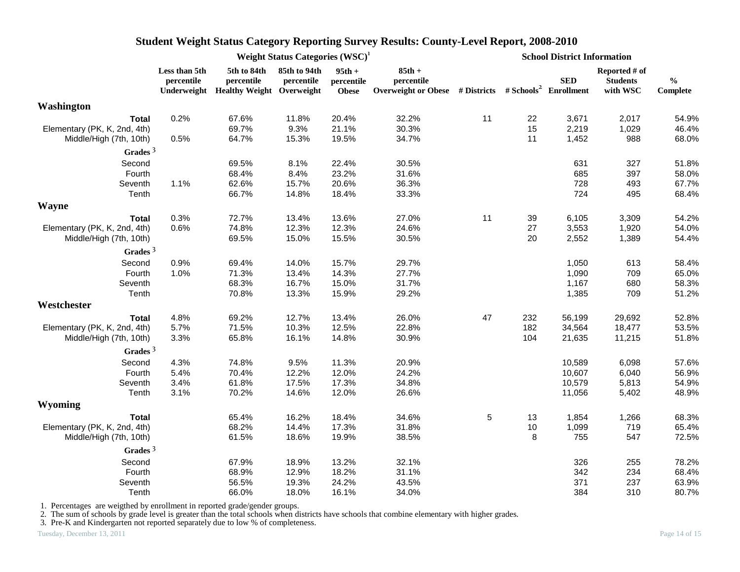|                                                         | Weight Status Categories $(WSC)^1$ |                                                                    |                            |                                        |                                                                                   |    | <b>School District Information</b> |                |                                              |                                                |  |
|---------------------------------------------------------|------------------------------------|--------------------------------------------------------------------|----------------------------|----------------------------------------|-----------------------------------------------------------------------------------|----|------------------------------------|----------------|----------------------------------------------|------------------------------------------------|--|
|                                                         | Less than 5th<br>percentile        | 5th to 84th<br>percentile<br>Underweight Healthy Weight Overweight | 85th to 94th<br>percentile | $95th +$<br>percentile<br><b>Obese</b> | $85th +$<br>percentile<br>Overweight or Obese # Districts # $Schools2$ Enrollment |    |                                    | <b>SED</b>     | Reported # of<br><b>Students</b><br>with WSC | $\mathbf{0}_{\mathbf{0}}^{\prime}$<br>Complete |  |
| Washington                                              |                                    |                                                                    |                            |                                        |                                                                                   |    |                                    |                |                                              |                                                |  |
| <b>Total</b>                                            | 0.2%                               | 67.6%                                                              | 11.8%                      | 20.4%                                  | 32.2%                                                                             | 11 | 22                                 | 3,671          | 2,017                                        | 54.9%                                          |  |
| Elementary (PK, K, 2nd, 4th)                            |                                    | 69.7%                                                              | 9.3%                       | 21.1%                                  | 30.3%                                                                             |    | 15                                 | 2,219          | 1,029                                        | 46.4%                                          |  |
| Middle/High (7th, 10th)                                 | 0.5%                               | 64.7%                                                              | 15.3%                      | 19.5%                                  | 34.7%                                                                             |    | 11                                 | 1,452          | 988                                          | 68.0%                                          |  |
| Grades $3$                                              |                                    |                                                                    |                            |                                        |                                                                                   |    |                                    |                |                                              |                                                |  |
| Second                                                  |                                    | 69.5%                                                              | 8.1%                       | 22.4%                                  | 30.5%                                                                             |    |                                    | 631            | 327                                          | 51.8%                                          |  |
| Fourth                                                  |                                    | 68.4%                                                              | 8.4%                       | 23.2%                                  | 31.6%                                                                             |    |                                    | 685            | 397                                          | 58.0%                                          |  |
| Seventh                                                 | 1.1%                               | 62.6%                                                              | 15.7%                      | 20.6%                                  | 36.3%                                                                             |    |                                    | 728            | 493                                          | 67.7%                                          |  |
| Tenth                                                   |                                    | 66.7%                                                              | 14.8%                      | 18.4%                                  | 33.3%                                                                             |    |                                    | 724            | 495                                          | 68.4%                                          |  |
| <b>Wayne</b>                                            |                                    |                                                                    |                            |                                        |                                                                                   |    |                                    |                |                                              |                                                |  |
| <b>Total</b>                                            | 0.3%<br>0.6%                       | 72.7%<br>74.8%                                                     | 13.4%<br>12.3%             | 13.6%<br>12.3%                         | 27.0%<br>24.6%                                                                    | 11 | 39<br>27                           | 6,105<br>3,553 | 3,309                                        | 54.2%<br>54.0%                                 |  |
| Elementary (PK, K, 2nd, 4th)<br>Middle/High (7th, 10th) |                                    | 69.5%                                                              | 15.0%                      | 15.5%                                  | 30.5%                                                                             |    | 20                                 | 2,552          | 1,920<br>1,389                               | 54.4%                                          |  |
|                                                         |                                    |                                                                    |                            |                                        |                                                                                   |    |                                    |                |                                              |                                                |  |
| Grades $3$                                              |                                    |                                                                    |                            |                                        |                                                                                   |    |                                    |                |                                              |                                                |  |
| Second                                                  | 0.9%                               | 69.4%                                                              | 14.0%                      | 15.7%                                  | 29.7%                                                                             |    |                                    | 1,050          | 613                                          | 58.4%                                          |  |
| Fourth                                                  | 1.0%                               | 71.3%                                                              | 13.4%                      | 14.3%                                  | 27.7%                                                                             |    |                                    | 1,090          | 709                                          | 65.0%                                          |  |
| Seventh                                                 |                                    | 68.3%<br>70.8%                                                     | 16.7%                      | 15.0%                                  | 31.7%<br>29.2%                                                                    |    |                                    | 1,167          | 680<br>709                                   | 58.3%                                          |  |
| Tenth                                                   |                                    |                                                                    | 13.3%                      | 15.9%                                  |                                                                                   |    |                                    | 1,385          |                                              | 51.2%                                          |  |
| Westchester                                             |                                    |                                                                    |                            |                                        |                                                                                   |    |                                    |                |                                              |                                                |  |
| <b>Total</b>                                            | 4.8%                               | 69.2%                                                              | 12.7%                      | 13.4%                                  | 26.0%                                                                             | 47 | 232                                | 56,199         | 29,692                                       | 52.8%                                          |  |
| Elementary (PK, K, 2nd, 4th)                            | 5.7%                               | 71.5%                                                              | 10.3%                      | 12.5%                                  | 22.8%                                                                             |    | 182                                | 34,564         | 18,477                                       | 53.5%                                          |  |
| Middle/High (7th, 10th)                                 | 3.3%                               | 65.8%                                                              | 16.1%                      | 14.8%                                  | 30.9%                                                                             |    | 104                                | 21,635         | 11,215                                       | 51.8%                                          |  |
| Grades $3$                                              |                                    |                                                                    |                            |                                        |                                                                                   |    |                                    |                |                                              |                                                |  |
| Second                                                  | 4.3%                               | 74.8%                                                              | 9.5%                       | 11.3%                                  | 20.9%                                                                             |    |                                    | 10,589         | 6,098                                        | 57.6%                                          |  |
| Fourth                                                  | 5.4%                               | 70.4%                                                              | 12.2%                      | 12.0%                                  | 24.2%                                                                             |    |                                    | 10,607         | 6,040                                        | 56.9%                                          |  |
| Seventh                                                 | 3.4%                               | 61.8%                                                              | 17.5%                      | 17.3%                                  | 34.8%                                                                             |    |                                    | 10,579         | 5,813                                        | 54.9%                                          |  |
| Tenth                                                   | 3.1%                               | 70.2%                                                              | 14.6%                      | 12.0%                                  | 26.6%                                                                             |    |                                    | 11,056         | 5,402                                        | 48.9%                                          |  |
| <b>Wyoming</b>                                          |                                    |                                                                    |                            |                                        |                                                                                   |    |                                    |                |                                              |                                                |  |
| <b>Total</b>                                            |                                    | 65.4%                                                              | 16.2%                      | 18.4%                                  | 34.6%                                                                             | 5  | 13                                 | 1,854          | 1,266                                        | 68.3%                                          |  |
| Elementary (PK, K, 2nd, 4th)                            |                                    | 68.2%                                                              | 14.4%                      | 17.3%                                  | 31.8%                                                                             |    | 10                                 | 1,099          | 719                                          | 65.4%                                          |  |
| Middle/High (7th, 10th)                                 |                                    | 61.5%                                                              | 18.6%                      | 19.9%                                  | 38.5%                                                                             |    | 8                                  | 755            | 547                                          | 72.5%                                          |  |
| Grades $3$                                              |                                    |                                                                    |                            |                                        |                                                                                   |    |                                    |                |                                              |                                                |  |
| Second                                                  |                                    | 67.9%                                                              | 18.9%                      | 13.2%                                  | 32.1%                                                                             |    |                                    | 326            | 255                                          | 78.2%                                          |  |
| Fourth                                                  |                                    | 68.9%                                                              | 12.9%                      | 18.2%                                  | 31.1%                                                                             |    |                                    | 342            | 234                                          | 68.4%                                          |  |
| Seventh                                                 |                                    | 56.5%                                                              | 19.3%                      | 24.2%                                  | 43.5%                                                                             |    |                                    | 371            | 237                                          | 63.9%                                          |  |
| Tenth                                                   |                                    | 66.0%                                                              | 18.0%                      | 16.1%                                  | 34.0%                                                                             |    |                                    | 384            | 310                                          | 80.7%                                          |  |

1. Percentages are weigthed by enrollment in reported grade/gender groups.

2. The sum of schools by grade level is greater than the total schools when districts have schools that combine elementary with higher grades.